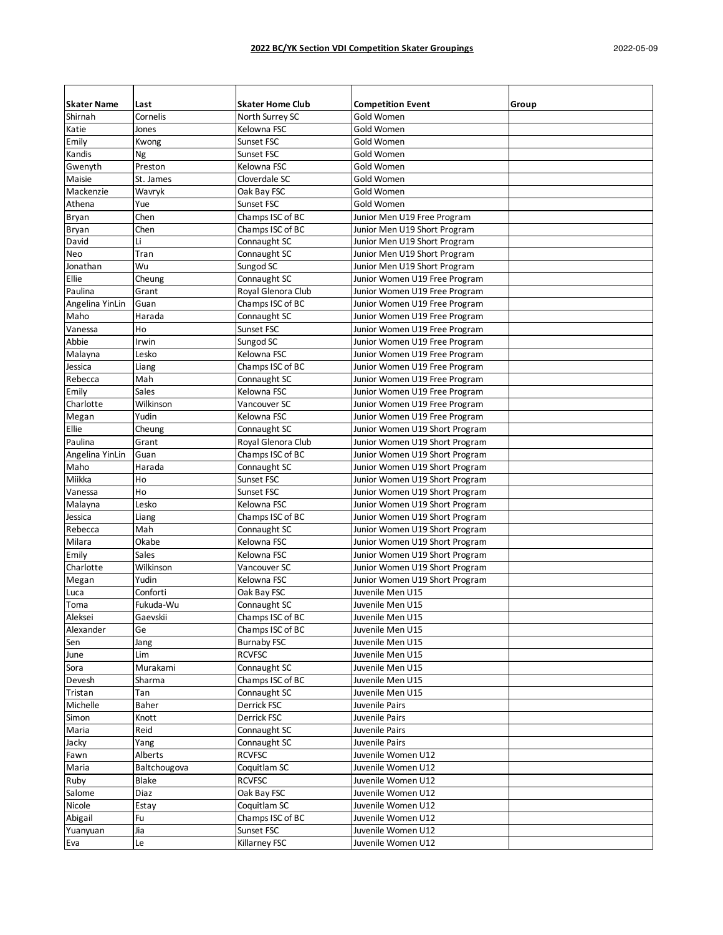| <b>Skater Name</b> | Last         | <b>Skater Home Club</b> | <b>Competition Event</b>       | Group |
|--------------------|--------------|-------------------------|--------------------------------|-------|
| Shirnah            | Cornelis     | North Surrey SC         | Gold Women                     |       |
| Katie              | Jones        | Kelowna FSC             | Gold Women                     |       |
| Emily              | Kwong        | Sunset FSC              | Gold Women                     |       |
| Kandis             | Ng           | Sunset FSC              | Gold Women                     |       |
| Gwenyth            | Preston      | Kelowna FSC             | Gold Women                     |       |
| Maisie             | St. James    | Cloverdale SC           | Gold Women                     |       |
| Mackenzie          | Wavryk       | Oak Bay FSC             | Gold Women                     |       |
| Athena             | Yue          | Sunset FSC              | Gold Women                     |       |
| Bryan              | Chen         | Champs ISC of BC        | Junior Men U19 Free Program    |       |
| Bryan              | Chen         | Champs ISC of BC        | Junior Men U19 Short Program   |       |
| David              | Li           | Connaught SC            | Junior Men U19 Short Program   |       |
| Neo                | Tran         | Connaught SC            | Junior Men U19 Short Program   |       |
| Jonathan           | Wu           | Sungod SC               | Junior Men U19 Short Program   |       |
| Ellie              | Cheung       | Connaught SC            | Junior Women U19 Free Program  |       |
| Paulina            | Grant        | Royal Glenora Club      | Junior Women U19 Free Program  |       |
| Angelina YinLin    | Guan         | Champs ISC of BC        | Junior Women U19 Free Program  |       |
| Maho               | Harada       | Connaught SC            | Junior Women U19 Free Program  |       |
| Vanessa            | Ho           | Sunset FSC              | Junior Women U19 Free Program  |       |
| Abbie              | Irwin        | Sungod SC               | Junior Women U19 Free Program  |       |
| Malayna            | Lesko        | Kelowna FSC             | Junior Women U19 Free Program  |       |
| Jessica            | Liang        | Champs ISC of BC        | Junior Women U19 Free Program  |       |
| Rebecca            | Mah          | Connaught SC            | Junior Women U19 Free Program  |       |
| Emily              | Sales        | Kelowna FSC             | Junior Women U19 Free Program  |       |
| Charlotte          | Wilkinson    | Vancouver SC            | Junior Women U19 Free Program  |       |
| Megan              | Yudin        | Kelowna FSC             | Junior Women U19 Free Program  |       |
| Ellie              | Cheung       | Connaught SC            | Junior Women U19 Short Program |       |
| Paulina            | Grant        | Royal Glenora Club      | Junior Women U19 Short Program |       |
| Angelina YinLin    | Guan         | Champs ISC of BC        | Junior Women U19 Short Program |       |
| Maho               | Harada       | Connaught SC            | Junior Women U19 Short Program |       |
| Miikka             | Ho           | Sunset FSC              | Junior Women U19 Short Program |       |
| Vanessa            | Ho           | Sunset FSC              | Junior Women U19 Short Program |       |
| Malayna            | Lesko        | Kelowna FSC             | Junior Women U19 Short Program |       |
| Jessica            | Liang        | Champs ISC of BC        | Junior Women U19 Short Program |       |
| Rebecca            | Mah          | Connaught SC            | Junior Women U19 Short Program |       |
| Milara             | Okabe        | Kelowna FSC             | Junior Women U19 Short Program |       |
| Emily              | Sales        | Kelowna FSC             | Junior Women U19 Short Program |       |
| Charlotte          | Wilkinson    | Vancouver SC            | Junior Women U19 Short Program |       |
| Megan              | Yudin        | Kelowna FSC             | Junior Women U19 Short Program |       |
| Luca               | Conforti     | Oak Bay FSC             | Juvenile Men U15               |       |
| Toma               | Fukuda-Wu    | Connaught SC            | Juvenile Men U15               |       |
| Aleksei            | Gaevskii     | Champs ISC of BC        | Juvenile Men U15               |       |
| Alexander          | Ge           | Champs ISC of BC        | Juvenile Men U15               |       |
| Sen                | Jang         | <b>Burnaby FSC</b>      | Juvenile Men U15               |       |
| June               | Lim          | <b>RCVFSC</b>           | Juvenile Men U15               |       |
| Sora               | Murakami     | Connaught SC            | Juvenile Men U15               |       |
| Devesh             | Sharma       | Champs ISC of BC        | Juvenile Men U15               |       |
| Tristan            | Tan          | Connaught SC            | Juvenile Men U15               |       |
| Michelle           | Baher        | Derrick FSC             | Juvenile Pairs                 |       |
| Simon              | Knott        | Derrick FSC             | Juvenile Pairs                 |       |
| Maria              | Reid         | Connaught SC            | Juvenile Pairs                 |       |
| Jacky              | Yang         | Connaught SC            | Juvenile Pairs                 |       |
| Fawn               | Alberts      | <b>RCVFSC</b>           | Juvenile Women U12             |       |
| Maria              | Baltchougova | Coquitlam SC            | Juvenile Women U12             |       |
| Ruby               | Blake        | <b>RCVFSC</b>           | Juvenile Women U12             |       |
| Salome             | Diaz         | Oak Bay FSC             | Juvenile Women U12             |       |
| Nicole             | Estay        | Coquitlam SC            | Juvenile Women U12             |       |
| Abigail            | Fu           | Champs ISC of BC        | Juvenile Women U12             |       |
| Yuanyuan           | Jia          | Sunset FSC              | Juvenile Women U12             |       |
| Eva                | Le           | Killarney FSC           | Juvenile Women U12             |       |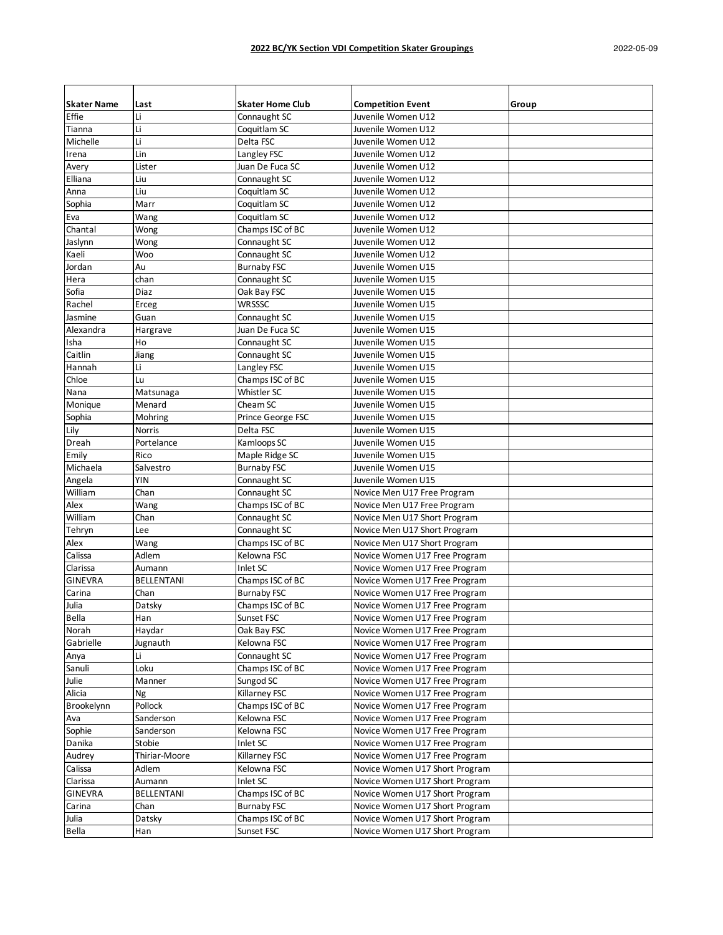| <b>Skater Name</b> | Last              | <b>Skater Home Club</b> | <b>Competition Event</b>                                       | Group |
|--------------------|-------------------|-------------------------|----------------------------------------------------------------|-------|
| Effie              | Li                | Connaught SC            | Juvenile Women U12                                             |       |
| Tianna             | Li                | Coquitlam SC            | Juvenile Women U12                                             |       |
| Michelle           | Li                | Delta FSC               | Juvenile Women U12                                             |       |
| Irena              | Lin               | Langley FSC             | Juvenile Women U12                                             |       |
| Avery              | Lister            | Juan De Fuca SC         | Juvenile Women U12                                             |       |
| Elliana            | Liu               | Connaught SC            | Juvenile Women U12                                             |       |
| Anna               | Liu               | Coquitlam SC            | Juvenile Women U12                                             |       |
| Sophia             | Marr              | Coquitlam SC            | Juvenile Women U12                                             |       |
| Eva                | Wang              | Coquitlam SC            | Juvenile Women U12                                             |       |
| Chantal            | Wong              | Champs ISC of BC        | Juvenile Women U12                                             |       |
| Jaslynn            | Wong              | Connaught SC            | Juvenile Women U12                                             |       |
| Kaeli              | Woo               | Connaught SC            | Juvenile Women U12                                             |       |
| Jordan             | Au                | <b>Burnaby FSC</b>      | Juvenile Women U15                                             |       |
| Hera               | chan              | Connaught SC            | Juvenile Women U15                                             |       |
| Sofia              | Diaz              | Oak Bay FSC             | Juvenile Women U15                                             |       |
| Rachel             | Erceg             | <b>WRSSSC</b>           | Juvenile Women U15                                             |       |
| Jasmine            | Guan              | Connaught SC            | Juvenile Women U15                                             |       |
| Alexandra          | Hargrave          | Juan De Fuca SC         | Juvenile Women U15                                             |       |
| Isha               | Ho                | Connaught SC            | Juvenile Women U15                                             |       |
| Caitlin            | Jiang             | Connaught SC            | Juvenile Women U15                                             |       |
| Hannah             | Li                | Langley FSC             | Juvenile Women U15                                             |       |
| Chloe              | Lu                | Champs ISC of BC        | Juvenile Women U15                                             |       |
| Nana               | Matsunaga         | Whistler SC             | Juvenile Women U15                                             |       |
| Monique            | Menard            | Cheam SC                | Juvenile Women U15                                             |       |
| Sophia             | Mohring           | Prince George FSC       | Juvenile Women U15                                             |       |
| Lily               | Norris            | Delta FSC               | Juvenile Women U15                                             |       |
| Dreah              | Portelance        | Kamloops SC             | Juvenile Women U15                                             |       |
| Emily              | Rico              | Maple Ridge SC          | Juvenile Women U15                                             |       |
| Michaela           | Salvestro         | <b>Burnaby FSC</b>      | Juvenile Women U15                                             |       |
| Angela             | YIN               | Connaught SC            | Juvenile Women U15                                             |       |
| William            | Chan              | Connaught SC            | Novice Men U17 Free Program                                    |       |
| Alex               | Wang              | Champs ISC of BC        | Novice Men U17 Free Program                                    |       |
| William            | Chan              | Connaught SC            | Novice Men U17 Short Program                                   |       |
| Tehryn             | Lee               | Connaught SC            | Novice Men U17 Short Program                                   |       |
| Alex               | Wang              | Champs ISC of BC        | Novice Men U17 Short Program                                   |       |
| Calissa            | Adlem             | Kelowna FSC             | Novice Women U17 Free Program                                  |       |
| Clarissa           | Aumann            | Inlet SC                | Novice Women U17 Free Program                                  |       |
| <b>GINEVRA</b>     | <b>BELLENTANI</b> | Champs ISC of BC        | Novice Women U17 Free Program                                  |       |
| Carina             | Chan              | <b>Burnaby FSC</b>      | Novice Women U17 Free Program                                  |       |
| Julia              | Datsky            | Champs ISC of BC        | Novice Women U17 Free Program                                  |       |
| Bella              | Han               | Sunset FSC              | Novice Women U17 Free Program                                  |       |
|                    |                   | Oak Bay FSC             | Novice Women U17 Free Program                                  |       |
| Norah<br>Gabrielle | Haydar            | Kelowna FSC             | Novice Women U17 Free Program                                  |       |
|                    | Jugnauth<br>Li    | Connaught SC            | Novice Women U17 Free Program                                  |       |
| Anya               |                   | Champs ISC of BC        |                                                                |       |
| Sanuli<br>Julie    | Loku              | Sungod SC               | Novice Women U17 Free Program<br>Novice Women U17 Free Program |       |
| Alicia             | Manner<br>Ng      | Killarney FSC           | Novice Women U17 Free Program                                  |       |
|                    | Pollock           | Champs ISC of BC        |                                                                |       |
| Brookelynn         |                   | Kelowna FSC             | Novice Women U17 Free Program                                  |       |
| Ava                | Sanderson         | Kelowna FSC             | Novice Women U17 Free Program                                  |       |
| Sophie             | Sanderson         |                         | Novice Women U17 Free Program                                  |       |
| Danika             | Stobie            | Inlet SC                | Novice Women U17 Free Program                                  |       |
| Audrey             | Thiriar-Moore     | Killarney FSC           | Novice Women U17 Free Program                                  |       |
| Calissa            | Adlem             | Kelowna FSC             | Novice Women U17 Short Program                                 |       |
| Clarissa           | Aumann            | Inlet SC                | Novice Women U17 Short Program                                 |       |
| <b>GINEVRA</b>     | BELLENTANI        | Champs ISC of BC        | Novice Women U17 Short Program                                 |       |
| Carina             | Chan              | <b>Burnaby FSC</b>      | Novice Women U17 Short Program                                 |       |
| Julia              | Datsky            | Champs ISC of BC        | Novice Women U17 Short Program                                 |       |
| Bella              | Han               | Sunset FSC              | Novice Women U17 Short Program                                 |       |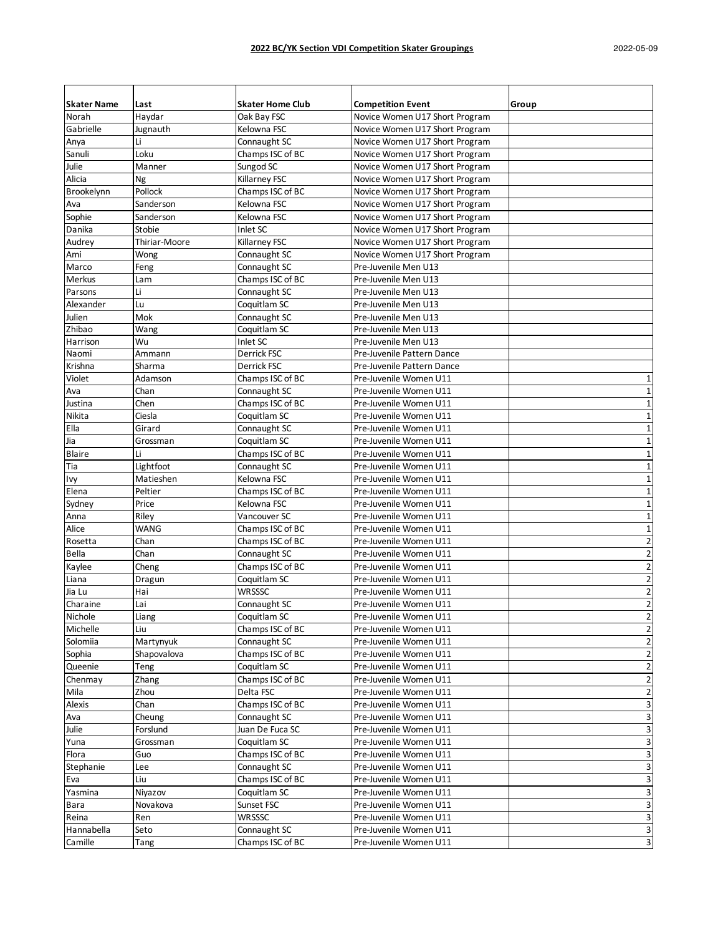| <b>Skater Name</b> | Last          | <b>Skater Home Club</b> | <b>Competition Event</b>       | Group                   |
|--------------------|---------------|-------------------------|--------------------------------|-------------------------|
| Norah              | Haydar        | Oak Bay FSC             | Novice Women U17 Short Program |                         |
| Gabrielle          | Jugnauth      | Kelowna FSC             | Novice Women U17 Short Program |                         |
| Anya               | Li            | Connaught SC            | Novice Women U17 Short Program |                         |
| Sanuli             | Loku          | Champs ISC of BC        | Novice Women U17 Short Program |                         |
| Julie              | Manner        | Sungod SC               | Novice Women U17 Short Program |                         |
| Alicia             | Ng            | Killarney FSC           | Novice Women U17 Short Program |                         |
| Brookelynn         | Pollock       | Champs ISC of BC        | Novice Women U17 Short Program |                         |
| Ava                | Sanderson     | Kelowna FSC             | Novice Women U17 Short Program |                         |
| Sophie             | Sanderson     | Kelowna FSC             | Novice Women U17 Short Program |                         |
| Danika             | <b>Stobie</b> | Inlet SC                | Novice Women U17 Short Program |                         |
| Audrey             | Thiriar-Moore | Killarney FSC           | Novice Women U17 Short Program |                         |
| Ami                | Wong          | Connaught SC            | Novice Women U17 Short Program |                         |
| Marco              | Feng          | Connaught SC            | Pre-Juvenile Men U13           |                         |
| <b>Merkus</b>      | Lam           | Champs ISC of BC        | Pre-Juvenile Men U13           |                         |
| Parsons            | Li            | Connaught SC            | Pre-Juvenile Men U13           |                         |
| Alexander          | Lu            | Coquitlam SC            | Pre-Juvenile Men U13           |                         |
| Julien             | Mok           | Connaught SC            | Pre-Juvenile Men U13           |                         |
| Zhibao             | Wang          | Coquitlam SC            | Pre-Juvenile Men U13           |                         |
| Harrison           | Wu            | Inlet SC                | Pre-Juvenile Men U13           |                         |
| Naomi              | Ammann        | Derrick FSC             | Pre-Juvenile Pattern Dance     |                         |
| Krishna            | Sharma        | Derrick FSC             | Pre-Juvenile Pattern Dance     |                         |
| Violet             | Adamson       | Champs ISC of BC        | Pre-Juvenile Women U11         | $\mathbf 1$             |
| Ava                | Chan          | Connaught SC            | Pre-Juvenile Women U11         | 1                       |
| Justina            | Chen          | Champs ISC of BC        | Pre-Juvenile Women U11         | 1                       |
|                    | Ciesla        | Coquitlam SC            | Pre-Juvenile Women U11         |                         |
| Nikita             |               |                         |                                | 1                       |
| Ella               | Girard        | Connaught SC            | Pre-Juvenile Women U11         | 1                       |
| Jia                | Grossman      | Coquitlam SC            | Pre-Juvenile Women U11         | $\mathbf 1$             |
| <b>Blaire</b>      | Li            | Champs ISC of BC        | Pre-Juvenile Women U11         | $\mathbf{1}$            |
| Tia                | Lightfoot     | Connaught SC            | Pre-Juvenile Women U11         | $\mathbf 1$             |
| Ivy                | Matieshen     | Kelowna FSC             | Pre-Juvenile Women U11         | 1                       |
| Elena              | Peltier       | Champs ISC of BC        | Pre-Juvenile Women U11         | 1                       |
| Sydney             | Price         | Kelowna FSC             | Pre-Juvenile Women U11         | $\mathbf{1}$            |
| Anna               | Riley         | Vancouver SC            | Pre-Juvenile Women U11         | $\mathbf 1$             |
| Alice              | WANG          | Champs ISC of BC        | Pre-Juvenile Women U11         | 1                       |
| Rosetta            | Chan          | Champs ISC of BC        | Pre-Juvenile Women U11         | $\overline{2}$          |
| Bella              | Chan          | Connaught SC            | Pre-Juvenile Women U11         | $\overline{2}$          |
| Kaylee             | Cheng         | Champs ISC of BC        | Pre-Juvenile Women U11         | $\overline{2}$          |
| Liana              | Dragun        | Coquitlam SC            | Pre-Juvenile Women U11         | $\overline{2}$          |
| Jia Lu             | Hai           | <b>WRSSSC</b>           | Pre-Juvenile Women U11         | 2                       |
| Charaine           | Lai           | Connaught SC            | Pre-Juvenile Women U11         | $\overline{2}$          |
| <b>Nichole</b>     | Liang         | Coquitlam SC            | Pre-Juvenile Women U11         | $\overline{\mathbf{c}}$ |
| Michelle           | Liu           | Champs ISC of BC        | Pre-Juvenile Women U11         | $\overline{2}$          |
| Solomiia           | Martynyuk     | Connaught SC            | Pre-Juvenile Women U11         | 2                       |
| Sophia             | Shapovalova   | Champs ISC of BC        | Pre-Juvenile Women U11         | 2                       |
| Queenie            | Teng          | Coquitlam SC            | Pre-Juvenile Women U11         | $\overline{2}$          |
| Chenmay            | Zhang         | Champs ISC of BC        | Pre-Juvenile Women U11         | $\overline{\mathbf{c}}$ |
| Mila               | Zhou          | Delta FSC               | Pre-Juvenile Women U11         | $\overline{2}$          |
| Alexis             | Chan          | Champs ISC of BC        | Pre-Juvenile Women U11         | 3                       |
| Ava                | Cheung        | Connaught SC            | Pre-Juvenile Women U11         | 3                       |
| Julie              | Forslund      | Juan De Fuca SC         | Pre-Juvenile Women U11         | 3                       |
| Yuna               | Grossman      | Coquitlam SC            | Pre-Juvenile Women U11         | 3                       |
| Flora              | Guo           | Champs ISC of BC        | Pre-Juvenile Women U11         | 3                       |
| Stephanie          | Lee           | Connaught SC            | Pre-Juvenile Women U11         | 3                       |
| Eva                | Liu           | Champs ISC of BC        | Pre-Juvenile Women U11         | 3                       |
|                    |               | Coquitlam SC            | Pre-Juvenile Women U11         | 3                       |
| Yasmina            | Niyazov       |                         |                                |                         |
| Bara               | Novakova      | Sunset FSC              | Pre-Juvenile Women U11         | 3                       |
| Reina              | Ren           | WRSSSC                  | Pre-Juvenile Women U11         | 3                       |
| Hannabella         | Seto          | Connaught SC            | Pre-Juvenile Women U11         | 3                       |
| Camille            | Tang          | Champs ISC of BC        | Pre-Juvenile Women U11         | 3                       |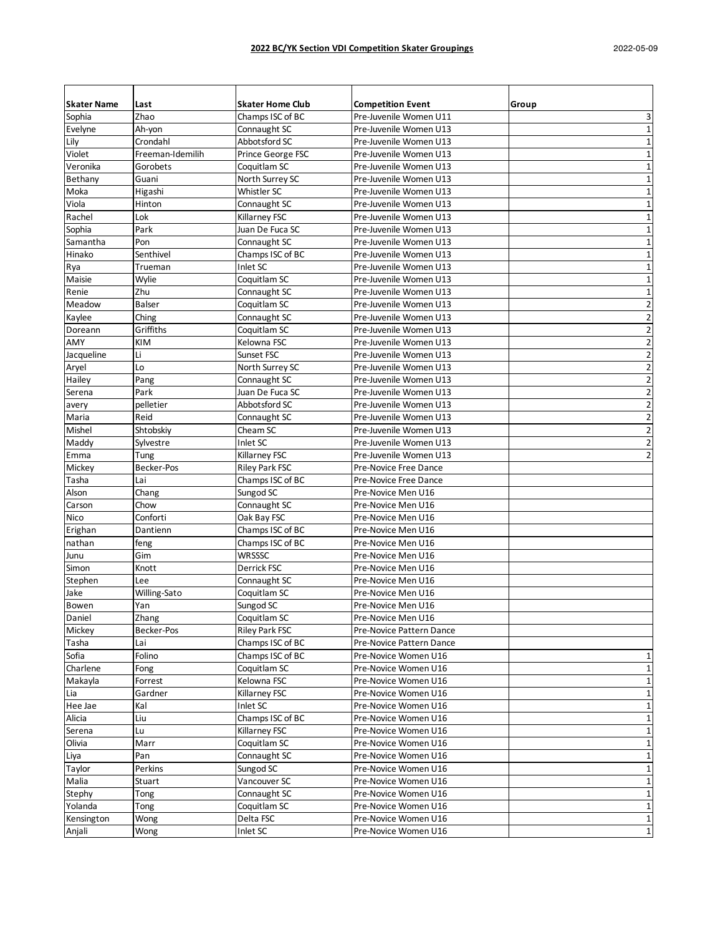| <b>Skater Name</b> | Last               | <b>Skater Home Club</b>       | <b>Competition Event</b>                         |                         |
|--------------------|--------------------|-------------------------------|--------------------------------------------------|-------------------------|
|                    | Zhao               | Champs ISC of BC              |                                                  | Group                   |
| Sophia             |                    |                               | Pre-Juvenile Women U11<br>Pre-Juvenile Women U13 | 3<br>$\mathbf{1}$       |
| Evelyne<br>Lily    | Ah-yon<br>Crondahl | Connaught SC<br>Abbotsford SC | Pre-Juvenile Women U13                           | $\mathbf{1}$            |
| Violet             | Freeman-Idemilih   | Prince George FSC             | Pre-Juvenile Women U13                           | 1                       |
| Veronika           | Gorobets           | Coquitlam SC                  | Pre-Juvenile Women U13                           | $\mathbf{1}$            |
| Bethany            | Guani              | North Surrey SC               | Pre-Juvenile Women U13                           | 1                       |
|                    |                    | Whistler SC                   | Pre-Juvenile Women U13                           | $\mathbf{1}$            |
| Moka<br>Viola      | Higashi<br>Hinton  | Connaught SC                  | Pre-Juvenile Women U13                           | $\mathbf 1$             |
| Rachel             | Lok                | Killarney FSC                 | Pre-Juvenile Women U13                           | $\mathbf{1}$            |
| Sophia             | Park               | Juan De Fuca SC               | Pre-Juvenile Women U13                           | $\mathbf 1$             |
| Samantha           | Pon                | Connaught SC                  | Pre-Juvenile Women U13                           | $\mathbf{1}$            |
| Hinako             | Senthivel          | Champs ISC of BC              | Pre-Juvenile Women U13                           | $\mathbf 1$             |
| Rya                | Trueman            | Inlet SC                      | Pre-Juvenile Women U13                           | $\mathbf{1}$            |
| Maisie             | Wylie              | Coquitlam SC                  | Pre-Juvenile Women U13                           | $\mathbf{1}$            |
| Renie              | Zhu                | Connaught SC                  | Pre-Juvenile Women U13                           | $\mathbf{1}$            |
| Meadow             | <b>Balser</b>      | Coquitlam SC                  | Pre-Juvenile Women U13                           | $\overline{\mathbf{c}}$ |
| Kaylee             | Ching              | Connaught SC                  | Pre-Juvenile Women U13                           | 2                       |
| Doreann            | Griffiths          | Coquitlam SC                  | Pre-Juvenile Women U13                           | $\overline{2}$          |
| AMY                | KIM                | Kelowna FSC                   | Pre-Juvenile Women U13                           | $\overline{2}$          |
| Jacqueline         | Li                 | Sunset FSC                    | Pre-Juvenile Women U13                           | $\overline{\mathbf{c}}$ |
| Aryel              | Lo                 | North Surrey SC               | Pre-Juvenile Women U13                           | $\overline{\mathbf{c}}$ |
| Hailey             | Pang               | Connaught SC                  | Pre-Juvenile Women U13                           | $\overline{2}$          |
| Serena             | Park               | Juan De Fuca SC               | Pre-Juvenile Women U13                           | $\overline{\mathbf{c}}$ |
|                    | pelletier          | Abbotsford SC                 | Pre-Juvenile Women U13                           | $\overline{2}$          |
| avery<br>Maria     | Reid               | Connaught SC                  | Pre-Juvenile Women U13                           | $\overline{2}$          |
| Mishel             | Shtobskiy          | Cheam SC                      | Pre-Juvenile Women U13                           | $\overline{2}$          |
| Maddy              | Sylvestre          | Inlet SC                      | Pre-Juvenile Women U13                           | $\overline{2}$          |
| Emma               | Tung               | Killarney FSC                 | Pre-Juvenile Women U13                           | $\overline{2}$          |
| Mickey             | Becker-Pos         | <b>Riley Park FSC</b>         | Pre-Novice Free Dance                            |                         |
| Tasha              | Lai                | Champs ISC of BC              | Pre-Novice Free Dance                            |                         |
| Alson              | Chang              | Sungod SC                     | Pre-Novice Men U16                               |                         |
| Carson             | Chow               | Connaught SC                  | Pre-Novice Men U16                               |                         |
| Nico               | Conforti           | Oak Bay FSC                   | Pre-Novice Men U16                               |                         |
| Erighan            | Dantienn           | Champs ISC of BC              | Pre-Novice Men U16                               |                         |
| nathan             | feng               | Champs ISC of BC              | Pre-Novice Men U16                               |                         |
| Junu               | Gim                | <b>WRSSSC</b>                 | Pre-Novice Men U16                               |                         |
| Simon              | Knott              | Derrick FSC                   | Pre-Novice Men U16                               |                         |
| Stephen            | Lee                | Connaught SC                  | Pre-Novice Men U16                               |                         |
| Jake               | Willing-Sato       | Coquitlam SC                  | Pre-Novice Men U16                               |                         |
| Bowen              | Yan                | Sungod SC                     | Pre-Novice Men U16                               |                         |
| Daniel             | Zhang              | Coquitlam SC                  | Pre-Novice Men U16                               |                         |
| Mickey             | Becker-Pos         | <b>Riley Park FSC</b>         | Pre-Novice Pattern Dance                         |                         |
| Tasha              | Lai                | Champs ISC of BC              | Pre-Novice Pattern Dance                         |                         |
| Sofia              | Folino             | Champs ISC of BC              | Pre-Novice Women U16                             | 1                       |
| Charlene           | Fong               | Coquitlam SC                  | Pre-Novice Women U16                             | $\mathbf{1}$            |
| Makayla            | Forrest            | Kelowna FSC                   | Pre-Novice Women U16                             | $\mathbf 1$             |
| Lia                | Gardner            | Killarney FSC                 | Pre-Novice Women U16                             | $\mathbf{1}$            |
| Hee Jae            | Kal                | Inlet SC                      | Pre-Novice Women U16                             | 1                       |
| Alicia             | Liu                | Champs ISC of BC              | Pre-Novice Women U16                             |                         |
| Serena             | Lu                 | Killarney FSC                 | Pre-Novice Women U16                             | $\mathbf{1}$            |
| Olivia             | Marr               | Coquitlam SC                  | Pre-Novice Women U16                             | 1                       |
| Liya               | Pan                | Connaught SC                  | Pre-Novice Women U16                             | $\mathbf 1$             |
| Taylor             | Perkins            | Sungod SC                     | Pre-Novice Women U16                             | 1                       |
| Malia              | Stuart             | Vancouver SC                  | Pre-Novice Women U16                             | 1                       |
| Stephy             | Tong               | Connaught SC                  | Pre-Novice Women U16                             | $\mathbf{1}$            |
| Yolanda            | Tong               | Coquitlam SC                  | Pre-Novice Women U16                             | $\mathbf{1}$            |
| Kensington         | Wong               | Delta FSC                     | Pre-Novice Women U16                             | $\mathbf{1}$            |
| Anjali             | Wong               | Inlet SC                      | Pre-Novice Women U16                             | $1\vert$                |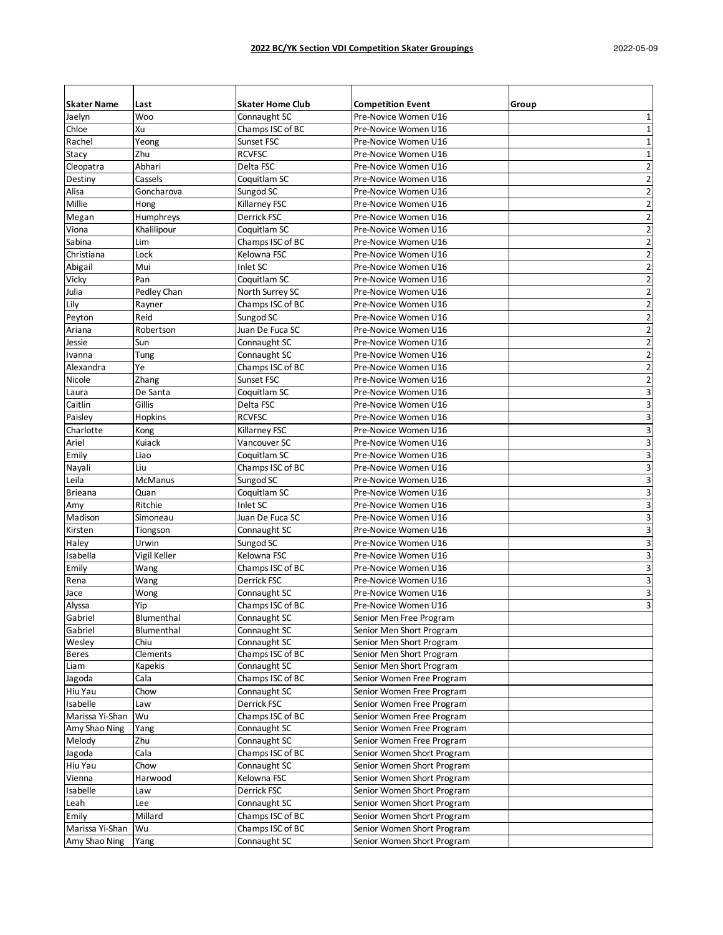| <b>Skater Name</b> | Last              | <b>Skater Home Club</b> | <b>Competition Event</b>   | Group                   |
|--------------------|-------------------|-------------------------|----------------------------|-------------------------|
| Jaelyn             | Woo               | Connaught SC            | Pre-Novice Women U16       | 1                       |
| Chloe              | Xu                | Champs ISC of BC        | Pre-Novice Women U16       | $\mathbf{1}$            |
| Rachel             | Yeong             | Sunset FSC              | Pre-Novice Women U16       | $\mathbf 1$             |
| Stacy              | Zhu               | <b>RCVFSC</b>           | Pre-Novice Women U16       | 1                       |
| Cleopatra          | Abhari            | Delta FSC               | Pre-Novice Women U16       | $\overline{2}$          |
| Destiny            | Cassels           | Coquitlam SC            | Pre-Novice Women U16       | $\overline{2}$          |
| Alisa              | Goncharova        | Sungod SC               | Pre-Novice Women U16       | $\overline{\mathbf{c}}$ |
| Millie             | Hong              | Killarney FSC           | Pre-Novice Women U16       | $\overline{2}$          |
| Megan              | Humphreys         | Derrick FSC             | Pre-Novice Women U16       | $\overline{2}$          |
| Viona              | Khalilipour       | Coquitlam SC            | Pre-Novice Women U16       | 2                       |
| Sabina             | Lim               | Champs ISC of BC        | Pre-Novice Women U16       | $\overline{2}$          |
| Christiana         | Lock              | Kelowna FSC             | Pre-Novice Women U16       | $\overline{2}$          |
| Abigail            | Mui               | Inlet SC                | Pre-Novice Women U16       | $\overline{2}$          |
| Vicky              | Pan               | Coquitlam SC            | Pre-Novice Women U16       | $\overline{2}$          |
| Julia              | Pedley Chan       | North Surrey SC         | Pre-Novice Women U16       | $\overline{2}$          |
| Lily               | Rayner            | Champs ISC of BC        | Pre-Novice Women U16       | $\overline{\mathbf{c}}$ |
| Peyton             | Reid              | Sungod SC               | Pre-Novice Women U16       | $\overline{2}$          |
| Ariana             | Robertson         | Juan De Fuca SC         | Pre-Novice Women U16       | $\overline{2}$          |
| Jessie             | Sun               | Connaught SC            | Pre-Novice Women U16       | $\overline{2}$          |
| Ivanna             | Tung              | Connaught SC            | Pre-Novice Women U16       | $\overline{2}$          |
| Alexandra          | Ye                | Champs ISC of BC        | Pre-Novice Women U16       | $\overline{2}$          |
| Nicole             | Zhang             | Sunset FSC              | Pre-Novice Women U16       | 2                       |
| Laura              | De Santa          | Coquitlam SC            | Pre-Novice Women U16       | 3                       |
| Caitlin            | Gillis            | Delta FSC               | Pre-Novice Women U16       | 3                       |
| Paisley            | Hopkins           | <b>RCVFSC</b>           | Pre-Novice Women U16       | 3                       |
| Charlotte          | Kong              | Killarney FSC           | Pre-Novice Women U16       | 3                       |
| Ariel              | Kuiack            | Vancouver SC            | Pre-Novice Women U16       | 3                       |
| Emily              | Liao              | Coquitlam SC            | Pre-Novice Women U16       | 3                       |
| Nayali             | Liu               | Champs ISC of BC        | Pre-Novice Women U16       | 3                       |
| Leila              | McManus           | Sungod SC               | Pre-Novice Women U16       | 3                       |
| <b>Brieana</b>     | Quan              | Coquitlam SC            | Pre-Novice Women U16       | 3                       |
| Amy                | Ritchie           | Inlet SC                | Pre-Novice Women U16       | 3                       |
| Madison            | Simoneau          | Juan De Fuca SC         | Pre-Novice Women U16       | 3                       |
| Kirsten            | Tiongson          | Connaught SC            | Pre-Novice Women U16       | 3                       |
| Haley              | Urwin             | Sungod SC               | Pre-Novice Women U16       | 3                       |
| Isabella           | Vigil Keller      | Kelowna FSC             | Pre-Novice Women U16       | 3                       |
| Emily              | Wang              | Champs ISC of BC        | Pre-Novice Women U16       | 3                       |
| Rena               | Wang              | Derrick FSC             | Pre-Novice Women U16       | 3                       |
| Jace               | Wong              | Connaught SC            | Pre-Novice Women U16       | 3                       |
| Alyssa             | Yip               | Champs ISC of BC        | Pre-Novice Women U16       | 3                       |
| Gabriel            | <b>Blumenthal</b> | Connaught SC            | Senior Men Free Program    |                         |
| Gabriel            | Blumenthal        | Connaught SC            | Senior Men Short Program   |                         |
| Wesley             | Chiu              | Connaught SC            | Senior Men Short Program   |                         |
| <b>Beres</b>       | Clements          | Champs ISC of BC        | Senior Men Short Program   |                         |
| Liam               | Kapekis           | Connaught SC            | Senior Men Short Program   |                         |
| Jagoda             | Cala              | Champs ISC of BC        | Senior Women Free Program  |                         |
| Hiu Yau            | Chow              | Connaught SC            | Senior Women Free Program  |                         |
| Isabelle           | Law               | Derrick FSC             | Senior Women Free Program  |                         |
| Marissa Yi-Shan    | Wu                | Champs ISC of BC        | Senior Women Free Program  |                         |
| Amy Shao Ning      | Yang              | Connaught SC            | Senior Women Free Program  |                         |
| Melody             | Zhu               | Connaught SC            | Senior Women Free Program  |                         |
| Jagoda             | Cala              | Champs ISC of BC        | Senior Women Short Program |                         |
| Hiu Yau            | Chow              | Connaught SC            | Senior Women Short Program |                         |
| Vienna             | Harwood           | Kelowna FSC             | Senior Women Short Program |                         |
| Isabelle           | Law               | Derrick FSC             | Senior Women Short Program |                         |
| Leah               | Lee               | Connaught SC            | Senior Women Short Program |                         |
| Emily              | Millard           | Champs ISC of BC        | Senior Women Short Program |                         |
| Marissa Yi-Shan    | Wu                | Champs ISC of BC        | Senior Women Short Program |                         |
| Amy Shao Ning      | Yang              | Connaught SC            | Senior Women Short Program |                         |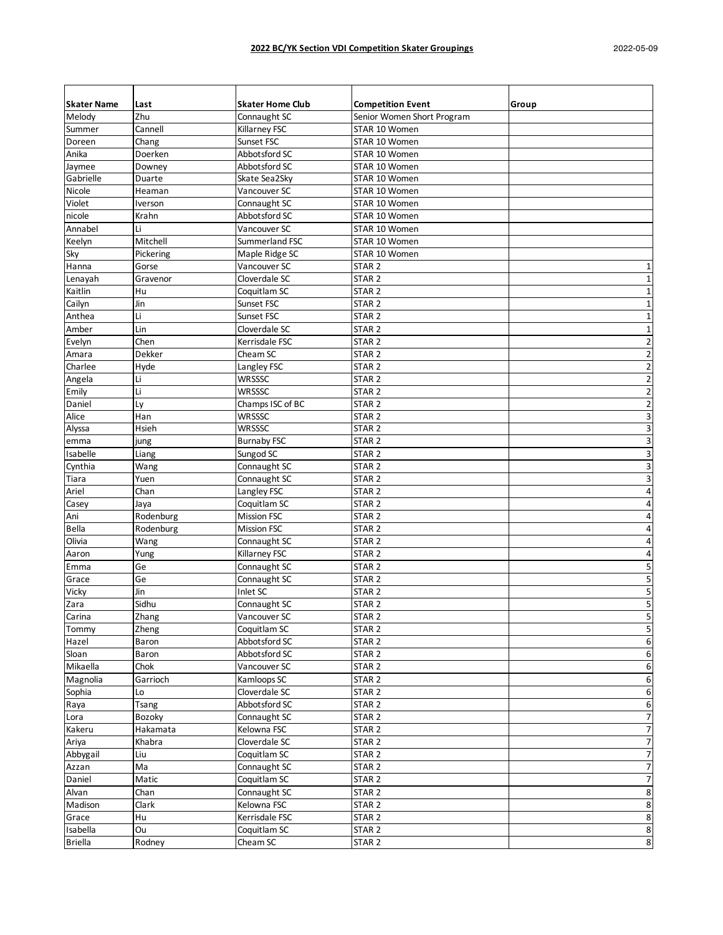| <b>Skater Name</b> | Last      | <b>Skater Home Club</b> | <b>Competition Event</b>   | Group                    |
|--------------------|-----------|-------------------------|----------------------------|--------------------------|
| Melody             | Zhu       | Connaught SC            | Senior Women Short Program |                          |
| Summer             | Cannell   | Killarney FSC           | STAR 10 Women              |                          |
| Doreen             | Chang     | Sunset FSC              | STAR 10 Women              |                          |
| Anika              | Doerken   | Abbotsford SC           | STAR 10 Women              |                          |
| Jaymee             | Downey    | Abbotsford SC           | STAR 10 Women              |                          |
| Gabrielle          | Duarte    | Skate Sea2Sky           | STAR 10 Women              |                          |
| Nicole             | Heaman    | Vancouver SC            | STAR 10 Women              |                          |
| Violet             | Iverson   | Connaught SC            | STAR 10 Women              |                          |
| nicole             | Krahn     | Abbotsford SC           | STAR 10 Women              |                          |
| Annabel            | Li        | Vancouver SC            | STAR 10 Women              |                          |
| Keelyn             | Mitchell  | Summerland FSC          | STAR 10 Women              |                          |
| Sky                | Pickering | Maple Ridge SC          | STAR 10 Women              |                          |
| Hanna              | Gorse     | Vancouver SC            | STAR <sub>2</sub>          | 1                        |
| Lenayah            | Gravenor  | Cloverdale SC           | STAR <sub>2</sub>          | 1                        |
| Kaitlin            | Hu        | Coquitlam SC            | STAR <sub>2</sub>          | $\mathbf 1$              |
| Cailyn             | Jin       | Sunset FSC              | STAR <sub>2</sub>          | $\mathbf 1$              |
| Anthea             | Li        | Sunset FSC              | STAR <sub>2</sub>          | 1                        |
| Amber              | Lin       | Cloverdale SC           | STAR <sub>2</sub>          | 1                        |
| Evelyn             | Chen      | Kerrisdale FSC          | STAR <sub>2</sub>          | $\overline{2}$           |
| Amara              | Dekker    | Cheam SC                | STAR <sub>2</sub>          | $\overline{2}$           |
| Charlee            | Hyde      | Langley FSC             | STAR <sub>2</sub>          | $\overline{2}$           |
| Angela             | Li        | WRSSSC                  | STAR <sub>2</sub>          | $\overline{2}$           |
| Emily              | Li        | WRSSSC                  | STAR <sub>2</sub>          | $\overline{2}$           |
| Daniel             | Ly        | Champs ISC of BC        | STAR <sub>2</sub>          | $\overline{\mathbf{c}}$  |
| Alice              | Han       | WRSSSC                  | STAR <sub>2</sub>          | 3                        |
| Alyssa             | Hsieh     | WRSSSC                  | STAR <sub>2</sub>          | 3                        |
| emma               | jung      | <b>Burnaby FSC</b>      | STAR <sub>2</sub>          | 3                        |
| Isabelle           | Liang     | Sungod SC               | STAR <sub>2</sub>          | 3                        |
| Cynthia            | Wang      | Connaught SC            | STAR <sub>2</sub>          | 3                        |
| Tiara              | Yuen      | Connaught SC            | STAR <sub>2</sub>          | 3                        |
| Ariel              | Chan      | Langley FSC             | STAR <sub>2</sub>          | 4                        |
|                    |           | Coquitlam SC            |                            | 4                        |
| Casey              | Jaya      |                         | STAR <sub>2</sub>          |                          |
| Ani                | Rodenburg | <b>Mission FSC</b>      | STAR <sub>2</sub>          | 4                        |
| Bella              | Rodenburg | <b>Mission FSC</b>      | STAR <sub>2</sub>          | 4                        |
| Olivia             | Wang      | Connaught SC            | STAR <sub>2</sub>          | $\overline{4}$           |
| Aaron              | Yung      | Killarney FSC           | STAR <sub>2</sub>          | 4                        |
| Emma               | Ge        | Connaught SC            | STAR <sub>2</sub>          | 5                        |
| Grace              | Ge        | Connaught SC            | STAR <sub>2</sub>          | 5                        |
| Vicky              | Jin       | Inlet SC                | STAR <sub>2</sub>          | 5                        |
| Zara               | Sidhu     | Connaught SC            | STAR 2                     | 5                        |
| Carina             | Zhang     | Vancouver SC            | STAR <sub>2</sub>          | 5                        |
| Tommy              | Zheng     | Coquitlam SC            | STAR <sub>2</sub>          | 5                        |
| Hazel              | Baron     | Abbotsford SC           | STAR <sub>2</sub>          | 6                        |
| Sloan              | Baron     | Abbotsford SC           | STAR <sub>2</sub>          | 6                        |
| Mikaella           | Chok      | Vancouver SC            | STAR <sub>2</sub>          | 6                        |
| Magnolia           | Garrioch  | Kamloops SC             | STAR <sub>2</sub>          | 6                        |
| Sophia             | Lo        | Cloverdale SC           | STAR <sub>2</sub>          | 6                        |
| Raya               | Tsang     | Abbotsford SC           | STAR <sub>2</sub>          | 6                        |
| Lora               | Bozoky    | Connaught SC            | STAR <sub>2</sub>          | 7                        |
| Kakeru             | Hakamata  | Kelowna FSC             | STAR <sub>2</sub>          | $\overline{7}$           |
| Ariya              | Khabra    | Cloverdale SC           | STAR <sub>2</sub>          | 7                        |
| Abbygail           | Liu       | Coquitlam SC            | STAR <sub>2</sub>          | $\overline{7}$           |
| Azzan              | Ma        | Connaught SC            | STAR <sub>2</sub>          | $\overline{7}$           |
| Daniel             | Matic     | Coquitlam SC            | STAR <sub>2</sub>          | $\overline{\phantom{a}}$ |
| Alvan              | Chan      | Connaught SC            | STAR <sub>2</sub>          | 8                        |
| Madison            | Clark     | Kelowna FSC             | STAR <sub>2</sub>          | 8                        |
| Grace              | Hu        | Kerrisdale FSC          | STAR <sub>2</sub>          | 8                        |
| Isabella           | Ou        | Coquitlam SC            | STAR <sub>2</sub>          | 8                        |
| <b>Briella</b>     | Rodney    | Cheam SC                | STAR <sub>2</sub>          | 8                        |
|                    |           |                         |                            |                          |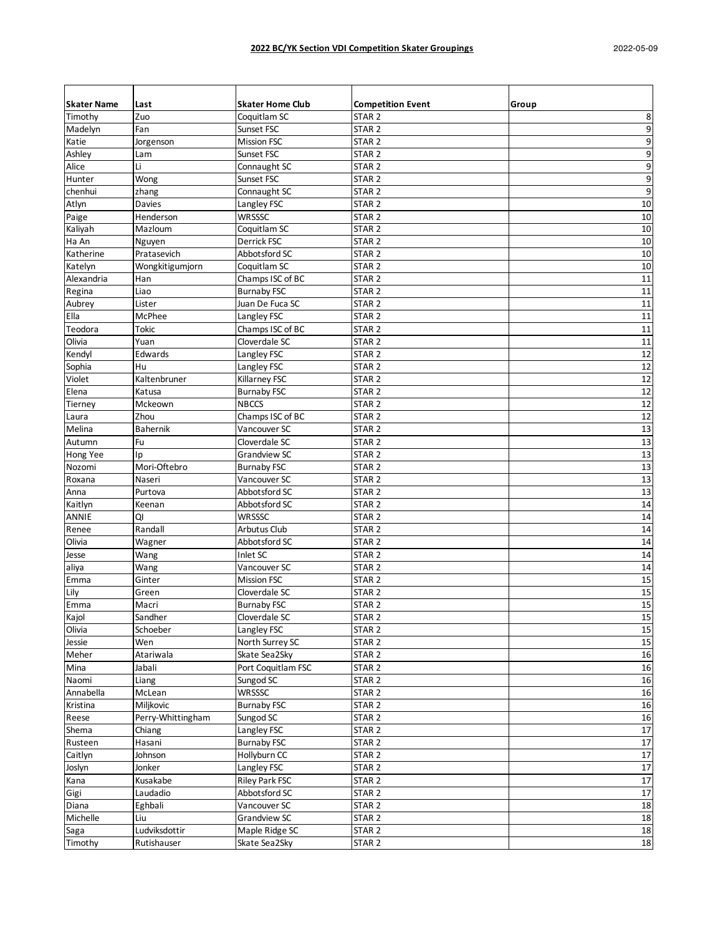| <b>Skater Name</b> | Last              | <b>Skater Home Club</b>             | <b>Competition Event</b>               | Group  |
|--------------------|-------------------|-------------------------------------|----------------------------------------|--------|
| Timothy            | Zuo               | Coquitlam SC                        | STAR <sub>2</sub>                      | 8      |
| Madelyn            | Fan               | Sunset FSC                          | STAR <sub>2</sub>                      | 9      |
| Katie              | Jorgenson         | <b>Mission FSC</b>                  | STAR <sub>2</sub>                      | 9      |
| Ashley             | Lam               | Sunset FSC                          | STAR <sub>2</sub>                      | 9      |
| Alice              | Li                | Connaught SC                        | STAR <sub>2</sub>                      | 9      |
| Hunter             | Wong              | Sunset FSC                          | STAR <sub>2</sub>                      | 9      |
| chenhui            | zhang             | Connaught SC                        | STAR <sub>2</sub>                      | 9      |
| Atlyn              | Davies            | Langley FSC                         | STAR <sub>2</sub>                      | 10     |
| Paige              | Henderson         | WRSSSC                              | STAR <sub>2</sub>                      | 10     |
| Kaliyah            | Mazloum           | Coquitlam SC                        | STAR <sub>2</sub>                      | 10     |
| Ha An              | Nguyen            | Derrick FSC                         | STAR <sub>2</sub>                      | 10     |
| Katherine          | Pratasevich       | Abbotsford SC                       | STAR <sub>2</sub>                      | 10     |
| Katelyn            | Wongkitigumjorn   | Coquitlam SC                        | STAR <sub>2</sub>                      | 10     |
| Alexandria         | Han               | Champs ISC of BC                    | STAR <sub>2</sub>                      | 11     |
| Regina             | Liao              | <b>Burnaby FSC</b>                  | STAR <sub>2</sub>                      | $11\,$ |
| Aubrey             | Lister            | Juan De Fuca SC                     | STAR <sub>2</sub>                      | 11     |
| Ella               | McPhee            | Langley FSC                         | STAR <sub>2</sub>                      | $11\,$ |
| Teodora            | Tokic             | Champs ISC of BC                    | STAR <sub>2</sub>                      | 11     |
| Olivia             | Yuan              | Cloverdale SC                       | STAR <sub>2</sub>                      | 11     |
| Kendyl             | Edwards           | Langley FSC                         | STAR <sub>2</sub>                      | 12     |
| Sophia             | Hu                | Langley FSC                         | STAR <sub>2</sub>                      | 12     |
| Violet             | Kaltenbruner      | Killarney FSC                       | STAR <sub>2</sub>                      | 12     |
| Elena              | Katusa            | <b>Burnaby FSC</b>                  | STAR <sub>2</sub>                      | 12     |
| Tierney            | Mckeown           | <b>NBCCS</b>                        | STAR <sub>2</sub>                      | 12     |
| Laura              | Zhou              | Champs ISC of BC                    | STAR <sub>2</sub>                      | 12     |
| Melina             | <b>Bahernik</b>   | Vancouver SC                        | STAR <sub>2</sub>                      | 13     |
| Autumn             | Fu                | Cloverdale SC                       | STAR <sub>2</sub>                      | 13     |
| Hong Yee           | Ip                | <b>Grandview SC</b>                 | STAR <sub>2</sub>                      | 13     |
| Nozomi             | Mori-Oftebro      | <b>Burnaby FSC</b>                  | STAR <sub>2</sub>                      | 13     |
| Roxana             | Naseri            | Vancouver SC                        | STAR <sub>2</sub>                      | 13     |
| Anna               | Purtova           | Abbotsford SC                       | STAR <sub>2</sub>                      | 13     |
| Kaitlyn            | Keenan            | Abbotsford SC                       | STAR <sub>2</sub>                      | 14     |
| <b>ANNIE</b>       | QI                | WRSSSC                              | STAR <sub>2</sub>                      | 14     |
| Renee              | Randall           | <b>Arbutus Club</b>                 | STAR <sub>2</sub>                      | 14     |
| Olivia             | Wagner            | Abbotsford SC                       | STAR <sub>2</sub>                      | 14     |
| Jesse              | Wang              | Inlet SC                            | STAR <sub>2</sub>                      | 14     |
|                    | Wang              | Vancouver SC                        | STAR <sub>2</sub>                      | 14     |
| aliya<br>Emma      | Ginter            | <b>Mission FSC</b>                  | STAR <sub>2</sub>                      | 15     |
| Lily               | Green             | Cloverdale SC                       | STAR <sub>2</sub>                      | 15     |
|                    |                   |                                     |                                        | 15     |
| Emma<br>Kajol      | Macri<br>Sandher  | <b>Burnaby FSC</b><br>Cloverdale SC | STAR <sub>2</sub><br>STAR <sub>2</sub> | 15     |
| Olivia             | Schoeber          | Langley FSC                         | STAR <sub>2</sub>                      | 15     |
| Jessie             | Wen               | North Surrey SC                     | STAR <sub>2</sub>                      | 15     |
| Meher              | Atariwala         | Skate Sea2Sky                       |                                        |        |
| Mina               | Jabali            | Port Coquitlam FSC                  | STAR <sub>2</sub>                      | 16     |
| Naomi              |                   |                                     | STAR <sub>2</sub><br>STAR <sub>2</sub> | 16     |
| Annabella          | Liang             | Sungod SC<br><b>WRSSSC</b>          |                                        | 16     |
| Kristina           | McLean            |                                     | STAR <sub>2</sub>                      | 16     |
|                    | Miljkovic         | <b>Burnaby FSC</b>                  | STAR <sub>2</sub>                      | 16     |
| Reese              | Perry-Whittingham | Sungod SC                           | STAR <sub>2</sub>                      | 16     |
| Shema              | Chiang            | Langley FSC                         | STAR <sub>2</sub>                      | 17     |
| Rusteen            | Hasani            | <b>Burnaby FSC</b>                  | STAR <sub>2</sub>                      | 17     |
| Caitlyn            | Johnson           | Hollyburn CC                        | STAR <sub>2</sub>                      | 17     |
| Joslyn             | Jonker            | Langley FSC                         | STAR <sub>2</sub>                      | 17     |
| Kana               | Kusakabe          | Riley Park FSC                      | STAR <sub>2</sub>                      | $17\,$ |
| Gigi               | Laudadio          | Abbotsford SC                       | STAR <sub>2</sub>                      | $17\,$ |
| Diana              | Eghbali           | Vancouver SC                        | STAR <sub>2</sub>                      | 18     |
| Michelle           | Liu               | Grandview SC                        | STAR <sub>2</sub>                      | 18     |
| Saga               | Ludviksdottir     | Maple Ridge SC                      | STAR <sub>2</sub>                      | 18     |
| Timothy            | Rutishauser       | Skate Sea2Sky                       | STAR <sub>2</sub>                      | $18\,$ |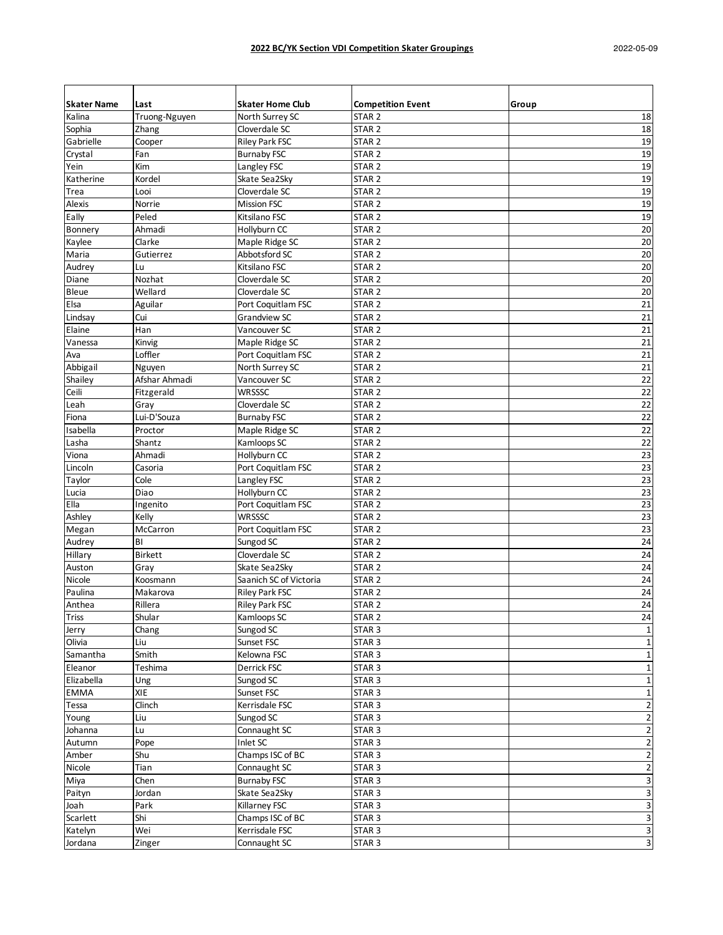| <b>Skater Name</b> | Last                        | <b>Skater Home Club</b> | <b>Competition Event</b> | Group                     |
|--------------------|-----------------------------|-------------------------|--------------------------|---------------------------|
| Kalina             | Truong-Nguyen               | North Surrey SC         | STAR <sub>2</sub>        | 18                        |
| Sophia             | Zhang                       | Cloverdale SC           | STAR <sub>2</sub>        | 18                        |
| Gabrielle          | Cooper                      | <b>Riley Park FSC</b>   | STAR <sub>2</sub>        | 19                        |
| Crystal            | Fan                         | <b>Burnaby FSC</b>      | STAR <sub>2</sub>        | 19                        |
| Yein               | Kim                         | Langley FSC             | STAR <sub>2</sub>        | 19                        |
| Katherine          | Kordel                      | Skate Sea2Sky           | STAR <sub>2</sub>        | 19                        |
| Trea               | Looi                        | Cloverdale SC           | STAR <sub>2</sub>        | 19                        |
| Alexis             | Norrie                      | <b>Mission FSC</b>      | STAR <sub>2</sub>        | 19                        |
| Eally              | Peled                       | Kitsilano FSC           | STAR <sub>2</sub>        | 19                        |
| Bonnery            | Ahmadi                      | Hollyburn CC            | STAR <sub>2</sub>        | 20                        |
| Kaylee             | Clarke                      | Maple Ridge SC          | STAR <sub>2</sub>        | $\overline{20}$           |
| Maria              | Gutierrez                   | Abbotsford SC           | STAR <sub>2</sub>        | 20                        |
| Audrey             | Lu                          | Kitsilano FSC           | STAR <sub>2</sub>        | 20                        |
| Diane              | Nozhat                      | Cloverdale SC           | STAR <sub>2</sub>        | 20                        |
| <b>Bleue</b>       | Wellard                     | Cloverdale SC           | STAR <sub>2</sub>        | 20                        |
| Elsa               | Aguilar                     | Port Coquitlam FSC      | STAR <sub>2</sub>        | 21                        |
| Lindsay            | Cui                         | Grandview SC            | STAR <sub>2</sub>        | 21                        |
| Elaine             | Han                         | Vancouver SC            | STAR <sub>2</sub>        | 21                        |
| Vanessa            |                             |                         |                          | $\overline{21}$           |
|                    | Kinvig<br>Loffler           | Maple Ridge SC          | STAR <sub>2</sub>        | 21                        |
| Ava                |                             | Port Coquitlam FSC      | STAR <sub>2</sub>        |                           |
| Abbigail           | Nguyen                      | North Surrey SC         | STAR <sub>2</sub>        | 21                        |
| Shailey            | Afshar Ahmadi               | Vancouver SC            | STAR <sub>2</sub>        | 22                        |
| Ceili              | Fitzgerald                  | WRSSSC                  | STAR <sub>2</sub>        | 22                        |
| Leah               | Gray                        | Cloverdale SC           | STAR <sub>2</sub>        | $\overline{22}$           |
| Fiona              | Lui-D'Souza                 | <b>Burnaby FSC</b>      | STAR <sub>2</sub>        | $\overline{22}$           |
| Isabella           | Proctor                     | Maple Ridge SC          | STAR <sub>2</sub>        | 22                        |
| Lasha              | Shantz                      | Kamloops SC             | STAR <sub>2</sub>        | 22                        |
| Viona              | Ahmadi                      | Hollyburn CC            | STAR <sub>2</sub>        | 23                        |
| Lincoln            | Casoria                     | Port Coquitlam FSC      | STAR <sub>2</sub>        | 23                        |
| Taylor             | Cole                        | Langley FSC             | STAR <sub>2</sub>        | 23                        |
| Lucia              | Diao                        | Hollyburn CC            | STAR <sub>2</sub>        | 23                        |
| Ella               | Ingenito                    | Port Coquitlam FSC      | STAR <sub>2</sub>        | 23                        |
| Ashley             | Kelly                       | <b>WRSSSC</b>           | STAR <sub>2</sub>        | 23                        |
| Megan              | McCarron                    | Port Coquitlam FSC      | STAR <sub>2</sub>        | 23                        |
| Audrey             | BI                          | Sungod SC               | STAR <sub>2</sub>        | 24                        |
| Hillary            | Birkett                     | Cloverdale SC           | STAR <sub>2</sub>        | 24                        |
| Auston             | Gray                        | Skate Sea2Sky           | STAR <sub>2</sub>        | 24                        |
| Nicole             | Koosmann                    | Saanich SC of Victoria  | STAR <sub>2</sub>        | 24                        |
| Paulina            | Makarova                    | Riley Park FSC          | STAR <sub>2</sub>        | 24                        |
| Anthea             | Rillera                     | <b>Riley Park FSC</b>   | STAR <sub>2</sub>        | 24                        |
| <b>Triss</b>       | Shular                      | Kamloops SC             | STAR <sub>2</sub>        | 24                        |
| Jerry              | Chang                       | Sungod SC               | STAR <sub>3</sub>        | $\mathbf 1$               |
| Olivia             | Liu                         | Sunset FSC              | STAR <sub>3</sub>        | $\mathbf 1$               |
| Samantha           | Smith                       | Kelowna FSC             | STAR <sub>3</sub>        | $\mathbf{1}$              |
| Eleanor            | Teshima                     | Derrick FSC             | STAR <sub>3</sub>        | $\mathbf 1$               |
| Elizabella         | Ung                         | Sungod SC               | STAR <sub>3</sub>        | $\mathbf 1$               |
| <b>EMMA</b>        | <b>XIE</b>                  | Sunset FSC              | STAR <sub>3</sub>        | $\mathbf 1$               |
| Tessa              | $\overline{\text{Clin}}$ ch | Kerrisdale FSC          | STAR <sub>3</sub>        | $\overline{\mathbf{c}}$   |
| Young              | Liu                         | Sungod SC               | STAR <sub>3</sub>        | $\mathbf 2$               |
| Johanna            | Lu                          | Connaught SC            | STAR <sub>3</sub>        | $\mathbf 2$               |
| Autumn             | Pope                        | Inlet SC                | STAR <sub>3</sub>        | $\mathbf 2$               |
| Amber              | Shu                         | Champs ISC of BC        | STAR <sub>3</sub>        | $\mathbf 2$               |
| Nicole             | Tian                        | Connaught SC            | STAR <sub>3</sub>        | $\mathbf 2$               |
| Miya               | Chen                        | <b>Burnaby FSC</b>      | STAR <sub>3</sub>        | $\overline{\mathbf{3}}$   |
| Paityn             | Jordan                      | Skate Sea2Sky           | STAR <sub>3</sub>        | $\mathsf 3$               |
| Joah               | Park                        | Killarney FSC           | STAR <sub>3</sub>        | $\overline{\mathbf{3}}$   |
| Scarlett           | Shi                         | Champs ISC of BC        | STAR <sub>3</sub>        | 3                         |
| Katelyn            | Wei                         | Kerrisdale FSC          | STAR <sub>3</sub>        | $\ensuremath{\mathsf{3}}$ |
|                    |                             |                         |                          |                           |
| Jordana            | Zinger                      | Connaught SC            | STAR <sub>3</sub>        | $\mathsf 3$               |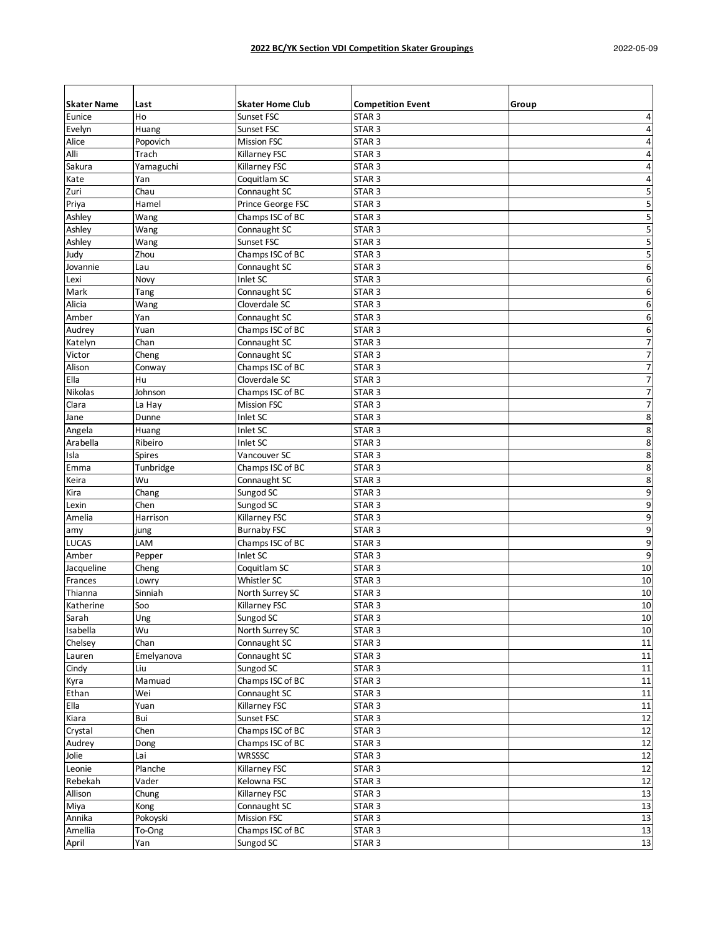| <b>Skater Name</b> | Last        | <b>Skater Home Club</b>              | <b>Competition Event</b>               | Group                    |
|--------------------|-------------|--------------------------------------|----------------------------------------|--------------------------|
| Eunice             | Ho          | Sunset FSC                           | STAR <sub>3</sub>                      | $\pmb{4}$                |
| Evelyn             | Huang       | Sunset FSC                           | STAR <sub>3</sub>                      | 4                        |
| Alice              | Popovich    | <b>Mission FSC</b>                   | STAR <sub>3</sub>                      | 4                        |
| Alli               | Trach       | Killarney FSC                        | STAR <sub>3</sub>                      | 4                        |
| Sakura             | Yamaguchi   | Killarney FSC                        | STAR <sub>3</sub>                      | $\pmb{4}$                |
| Kate               | Yan         | Coquitlam SC                         | STAR <sub>3</sub>                      | 4                        |
| Zuri               | Chau        | Connaught SC                         | STAR <sub>3</sub>                      | 5                        |
| Priya              | Hamel       | Prince George FSC                    | STAR <sub>3</sub>                      | 5                        |
| Ashley             | Wang        | Champs ISC of BC                     | STAR <sub>3</sub>                      | 5                        |
| Ashley             | Wang        | Connaught SC                         | STAR 3                                 | 5                        |
| Ashley             | Wang        | Sunset FSC                           | STAR <sub>3</sub>                      | 5                        |
| Judy               | Zhou        | Champs ISC of BC                     | STAR <sub>3</sub>                      | 5                        |
| Jovannie           | Lau         | Connaught SC                         | STAR <sub>3</sub>                      | 6                        |
| Lexi               | Novy        | Inlet SC                             | STAR <sub>3</sub>                      | 6                        |
| Mark               | Tang        | Connaught SC                         | STAR <sub>3</sub>                      | 6                        |
| Alicia             | Wang        | Cloverdale SC                        | STAR <sub>3</sub>                      | $\boldsymbol{6}$         |
| Amber              | Yan         | Connaught SC                         | STAR <sub>3</sub>                      | 6                        |
| Audrey             | Yuan        | Champs ISC of BC                     | STAR <sub>3</sub>                      | 6                        |
| Katelyn            | Chan        | Connaught SC                         | STAR <sub>3</sub>                      | $\boldsymbol{7}$         |
| Victor             | Cheng       | Connaught SC                         | STAR <sub>3</sub>                      | $\overline{\mathcal{I}}$ |
| Alison             | Conway      | Champs ISC of BC                     | STAR <sub>3</sub>                      | $\boldsymbol{7}$         |
| Ella               | Hu          | Cloverdale SC                        | STAR <sub>3</sub>                      | $\boldsymbol{7}$         |
| Nikolas            | Johnson     | Champs ISC of BC                     | STAR <sub>3</sub>                      | $\overline{\phantom{a}}$ |
| Clara              | La Hay      | <b>Mission FSC</b>                   | STAR <sub>3</sub>                      | $\overline{7}$           |
| Jane               | Dunne       | Inlet SC                             | STAR <sub>3</sub>                      | $\bf 8$                  |
| Angela             | Huang       | Inlet SC                             | STAR <sub>3</sub>                      | $\bf 8$                  |
| Arabella           | Ribeiro     | Inlet SC                             | STAR <sub>3</sub>                      | 8                        |
| Isla               | Spires      | Vancouver SC                         | STAR <sub>3</sub>                      | 8                        |
| Emma               | Tunbridge   | Champs ISC of BC                     | STAR <sub>3</sub>                      | 8                        |
| Keira              | Wu          | Connaught SC                         | STAR <sub>3</sub>                      | 8                        |
| Kira               | Chang       | Sungod SC                            | STAR <sub>3</sub>                      | 9                        |
| Lexin              | Chen        | Sungod SC                            | STAR <sub>3</sub>                      | 9                        |
| Amelia             | Harrison    | Killarney FSC                        | STAR <sub>3</sub>                      | 9                        |
| amy                | jung        | <b>Burnaby FSC</b>                   | STAR <sub>3</sub>                      | 9                        |
| <b>LUCAS</b>       | LAM         | Champs ISC of BC                     | STAR <sub>3</sub>                      | 9                        |
| Amber              | Pepper      | Inlet SC                             | STAR <sub>3</sub>                      | 9                        |
| Jacqueline         | Cheng       | Coquitlam SC                         | STAR <sub>3</sub>                      | $10\,$                   |
| Frances            | Lowry       | Whistler SC                          | STAR <sub>3</sub>                      | 10                       |
| Thianna            | Sinniah     | North Surrey SC                      | STAR <sub>3</sub>                      | 10                       |
| Katherine          | Soo         | Killarney FSC                        | STAR 3                                 | 10                       |
| Sarah              |             | Sungod SC                            | STAR <sub>3</sub>                      | 10                       |
| Isabella           | Ung<br>Wu   | North Surrey SC                      | STAR <sub>3</sub>                      | 10                       |
| Chelsey            | Chan        | Connaught SC                         | STAR <sub>3</sub>                      | 11                       |
| Lauren             | Emelyanova  | Connaught SC                         | STAR <sub>3</sub>                      | 11                       |
| Cindy              | Liu         | Sungod SC                            | STAR <sub>3</sub>                      | 11                       |
| Kyra               | Mamuad      | Champs ISC of BC                     | STAR <sub>3</sub>                      | $11\,$                   |
| Ethan              | Wei         | Connaught SC                         | STAR <sub>3</sub>                      | 11                       |
| Ella               | Yuan        | Killarney FSC                        | STAR <sub>3</sub>                      | 11                       |
| Kiara              | Bui         | Sunset FSC                           | STAR <sub>3</sub>                      | 12                       |
| Crystal            |             |                                      |                                        | 12                       |
|                    | Chen        | Champs ISC of BC<br>Champs ISC of BC | STAR <sub>3</sub><br>STAR <sub>3</sub> |                          |
| Audrey<br>Jolie    | Dong<br>Lai | WRSSSC                               | STAR <sub>3</sub>                      | 12<br>12                 |
|                    | Planche     | Killarney FSC                        |                                        |                          |
| Leonie             |             |                                      | STAR <sub>3</sub>                      | 12                       |
| Rebekah            | Vader       | Kelowna FSC                          | STAR <sub>3</sub>                      | 12                       |
| Allison            | Chung       | Killarney FSC                        | STAR <sub>3</sub>                      | 13                       |
| Miya               | Kong        | Connaught SC                         | STAR <sub>3</sub>                      | 13                       |
| Annika             | Pokoyski    | <b>Mission FSC</b>                   | STAR <sub>3</sub>                      | 13                       |
| Amellia            | To-Ong      | Champs ISC of BC                     | STAR <sub>3</sub>                      | 13                       |
| April              | Yan         | Sungod SC                            | STAR <sub>3</sub>                      | $13\,$                   |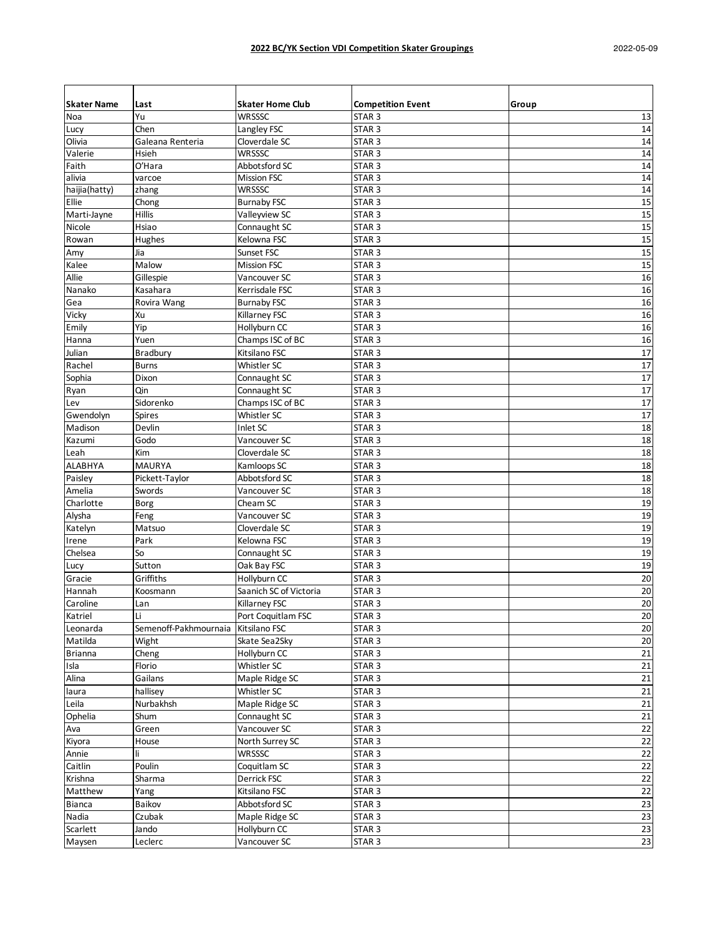| <b>Skater Name</b> | Last                  | <b>Skater Home Club</b> | <b>Competition Event</b> | Group  |
|--------------------|-----------------------|-------------------------|--------------------------|--------|
| Noa                | Yu                    | <b>WRSSSC</b>           | STAR <sub>3</sub>        | 13     |
| Lucy               | Chen                  | Langley FSC             | STAR <sub>3</sub>        | 14     |
| Olivia             | Galeana Renteria      | Cloverdale SC           | STAR <sub>3</sub>        | 14     |
| Valerie            | <b>Hsieh</b>          | WRSSSC                  | STAR <sub>3</sub>        | 14     |
| Faith              | O'Hara                | Abbotsford SC           | STAR <sub>3</sub>        | 14     |
| alivia             | varcoe                | <b>Mission FSC</b>      | STAR <sub>3</sub>        | 14     |
| haijia(hatty)      | zhang                 | <b>WRSSSC</b>           | STAR <sub>3</sub>        | 14     |
| Ellie              | Chong                 | <b>Burnaby FSC</b>      | STAR <sub>3</sub>        | 15     |
| Marti-Jayne        | <b>Hillis</b>         | Valleyview SC           | STAR <sub>3</sub>        | 15     |
| Nicole             | Hsiao                 | Connaught SC            | STAR <sub>3</sub>        | 15     |
| Rowan              | Hughes                | Kelowna FSC             | STAR <sub>3</sub>        | 15     |
| Amy                | Jia                   | Sunset FSC              | STAR <sub>3</sub>        | 15     |
| Kalee              | Malow                 | <b>Mission FSC</b>      | STAR <sub>3</sub>        | 15     |
| Allie              | Gillespie             | Vancouver SC            | STAR <sub>3</sub>        | 16     |
| Nanako             | Kasahara              | Kerrisdale FSC          | STAR <sub>3</sub>        | 16     |
| Gea                | Rovira Wang           | <b>Burnaby FSC</b>      | STAR <sub>3</sub>        | 16     |
| Vicky              | Xu                    | Killarney FSC           | STAR <sub>3</sub>        | 16     |
| Emily              | Yip                   | Hollyburn CC            | STAR <sub>3</sub>        | 16     |
| Hanna              | Yuen                  | Champs ISC of BC        | STAR <sub>3</sub>        | 16     |
| Julian             | Bradbury              | Kitsilano FSC           | STAR <sub>3</sub>        | 17     |
| Rachel             | <b>Burns</b>          | Whistler SC             | STAR <sub>3</sub>        | 17     |
|                    | Dixon                 | Connaught SC            | STAR <sub>3</sub>        | 17     |
| Sophia<br>Ryan     | Qin                   | Connaught SC            | STAR <sub>3</sub>        | 17     |
| Lev                | Sidorenko             | Champs ISC of BC        | STAR <sub>3</sub>        | 17     |
|                    |                       |                         |                          | 17     |
| Gwendolyn          | <b>Spires</b>         | Whistler SC             | STAR <sub>3</sub>        |        |
| Madison            | Devlin                | Inlet SC                | STAR <sub>3</sub>        | 18     |
| Kazumi             | Godo                  | Vancouver SC            | STAR <sub>3</sub>        | 18     |
| Leah               | Kim                   | Cloverdale SC           | STAR <sub>3</sub>        | 18     |
| <b>ALABHYA</b>     | <b>MAURYA</b>         | Kamloops SC             | STAR <sub>3</sub>        | 18     |
| Paisley            | Pickett-Taylor        | Abbotsford SC           | STAR <sub>3</sub>        | 18     |
| Amelia             | Swords                | Vancouver SC            | STAR <sub>3</sub>        | 18     |
| Charlotte          | Borg                  | Cheam SC                | STAR <sub>3</sub>        | 19     |
| Alysha             | Feng                  | Vancouver SC            | STAR <sub>3</sub>        | 19     |
| Katelyn            | Matsuo                | Cloverdale SC           | STAR <sub>3</sub>        | 19     |
| Irene              | Park                  | Kelowna FSC             | STAR <sub>3</sub>        | 19     |
| Chelsea            | So                    | Connaught SC            | STAR <sub>3</sub>        | 19     |
| Lucy               | Sutton                | Oak Bay FSC             | STAR <sub>3</sub>        | 19     |
| Gracie             | Griffiths             | Hollyburn CC            | STAR <sub>3</sub>        | 20     |
| Hannah             | Koosmann              | Saanich SC of Victoria  | STAR <sub>3</sub>        | 20     |
| Caroline           | Lan                   | Killarney FSC           | STAR <sub>3</sub>        | 20     |
| Katriel            | Li.                   | Port Coquitlam FSC      | STAR <sub>3</sub>        | $20\,$ |
| Leonarda           | Semenoff-Pakhmournaia | Kitsilano FSC           | STAR <sub>3</sub>        | 20     |
| Matilda            | Wight                 | Skate Sea2Sky           | STAR <sub>3</sub>        | 20     |
| <b>Brianna</b>     | Cheng                 | Hollyburn CC            | STAR <sub>3</sub>        | 21     |
| Isla               | Florio                | Whistler SC             | STAR <sub>3</sub>        | 21     |
| Alina              | Gailans               | Maple Ridge SC          | STAR <sub>3</sub>        | 21     |
| laura              | hallisey              | Whistler SC             | STAR <sub>3</sub>        | 21     |
| Leila              | Nurbakhsh             | Maple Ridge SC          | STAR <sub>3</sub>        | 21     |
| Ophelia            | Shum                  | Connaught SC            | STAR <sub>3</sub>        | 21     |
| Ava                | Green                 | Vancouver SC            | STAR <sub>3</sub>        | 22     |
| Kiyora             | House                 | North Surrey SC         | STAR <sub>3</sub>        | 22     |
| Annie              | li.                   | WRSSSC                  | STAR <sub>3</sub>        | 22     |
| Caitlin            | Poulin                | Coquitlam SC            | STAR <sub>3</sub>        | 22     |
| Krishna            | Sharma                | Derrick FSC             | STAR <sub>3</sub>        | 22     |
| Matthew            | Yang                  | Kitsilano FSC           | STAR <sub>3</sub>        | 22     |
| <b>Bianca</b>      | Baikov                | Abbotsford SC           | STAR <sub>3</sub>        | 23     |
| Nadia              | Czubak                | Maple Ridge SC          | STAR <sub>3</sub>        | 23     |
| Scarlett           | Jando                 | Hollyburn CC            | STAR <sub>3</sub>        | 23     |
| Maysen             | Leclerc               | Vancouver SC            | STAR <sub>3</sub>        | 23     |
|                    |                       |                         |                          |        |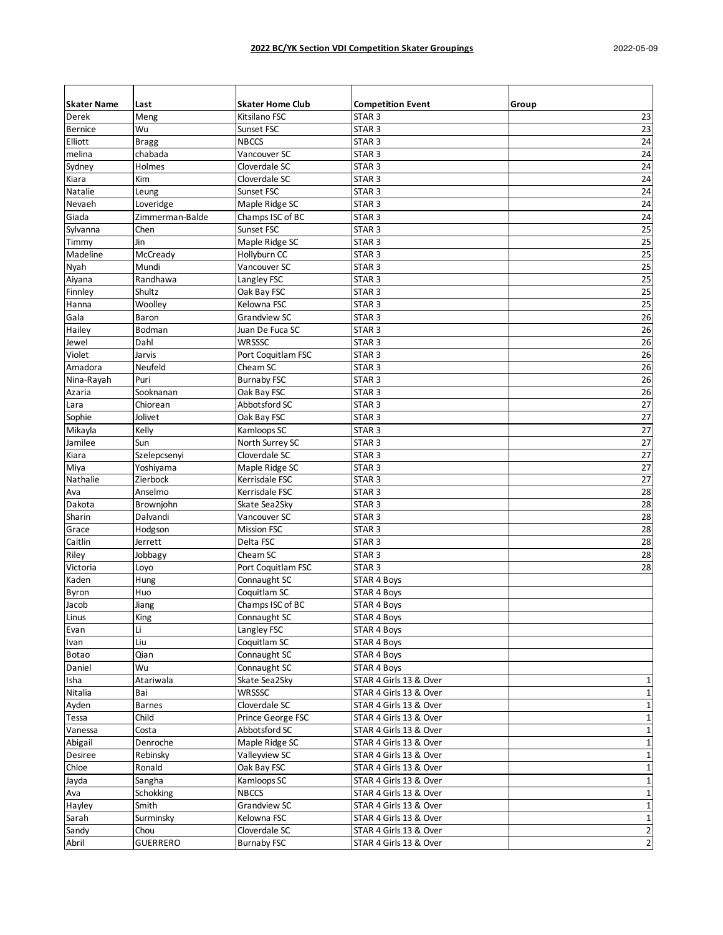| <b>Skater Name</b> | Last                | <b>Skater Home Club</b>    | <b>Competition Event</b>                         | Group                      |
|--------------------|---------------------|----------------------------|--------------------------------------------------|----------------------------|
| Derek              | Meng                | Kitsilano FSC              | STAR <sub>3</sub>                                | 23                         |
| <b>Bernice</b>     | Wu                  | Sunset FSC                 | STAR <sub>3</sub>                                | 23                         |
| Elliott            | <b>Bragg</b>        | <b>NBCCS</b>               | STAR <sub>3</sub>                                | 24                         |
| melina             | chabada             | Vancouver SC               | STAR <sub>3</sub>                                | 24                         |
| Sydney             | Holmes              | Cloverdale SC              | STAR <sub>3</sub>                                | 24                         |
| Kiara              | Kim                 | Cloverdale SC              | STAR <sub>3</sub>                                | 24                         |
| <b>Natalie</b>     | Leung               | Sunset FSC                 | STAR <sub>3</sub>                                | 24                         |
| Nevaeh             | Loveridge           | Maple Ridge SC             | STAR <sub>3</sub>                                | 24                         |
| Giada              | Zimmerman-Balde     | Champs ISC of BC           | STAR <sub>3</sub>                                | 24                         |
| Sylvanna           | Chen                | Sunset FSC                 | STAR <sub>3</sub>                                | 25                         |
| Timmy              | Jin                 | Maple Ridge SC             | STAR <sub>3</sub>                                | $\overline{25}$            |
| Madeline           | McCready            | Hollyburn CC               | STAR <sub>3</sub>                                | 25                         |
| Nyah               | Mundi               | Vancouver SC               | STAR <sub>3</sub>                                | 25                         |
| Aiyana             | Randhawa            | Langley FSC                | STAR <sub>3</sub>                                | 25                         |
| Finnley            | Shultz              | Oak Bay FSC                | STAR <sub>3</sub>                                | $\overline{25}$            |
| Hanna              | Woolley             | Kelowna FSC                | STAR <sub>3</sub>                                | 25                         |
| Gala               | Baron               | <b>Grandview SC</b>        | STAR <sub>3</sub>                                | 26                         |
| Hailey             | Bodman              | Juan De Fuca SC            | STAR <sub>3</sub>                                | 26                         |
| Jewel              | Dahl                | <b>WRSSSC</b>              | STAR <sub>3</sub>                                | 26                         |
| Violet             | Jarvis              | Port Coquitlam FSC         | STAR <sub>3</sub>                                | 26                         |
| Amadora            | Neufeld             | Cheam SC                   | STAR <sub>3</sub>                                | 26                         |
| Nina-Rayah         | Puri                | <b>Burnaby FSC</b>         | STAR <sub>3</sub>                                | 26                         |
| Azaria             | Sooknanan           | Oak Bay FSC                | STAR <sub>3</sub>                                | 26                         |
| Lara               | Chiorean            | Abbotsford SC              | STAR <sub>3</sub>                                | 27                         |
| Sophie             | Jolivet             | Oak Bay FSC                | STAR <sub>3</sub>                                | 27                         |
| Mikayla            | Kelly               | Kamloops SC                | STAR <sub>3</sub>                                | 27                         |
| Jamilee            | Sun                 | North Surrey SC            | STAR <sub>3</sub>                                | 27                         |
| Kiara              | Szelepcsenyi        | Cloverdale SC              | STAR <sub>3</sub>                                | $\overline{27}$            |
| Miya               | Yoshiyama           | Maple Ridge SC             | STAR <sub>3</sub>                                | 27                         |
| Nathalie           | Zierbock            | Kerrisdale FSC             | STAR <sub>3</sub>                                | $\overline{27}$            |
| Ava                | Anselmo             | Kerrisdale FSC             | STAR <sub>3</sub>                                | 28                         |
| Dakota             | Brownjohn           | Skate Sea2Sky              | STAR <sub>3</sub>                                | $\overline{28}$            |
| Sharin             | Dalvandi            | Vancouver SC               | STAR <sub>3</sub>                                | 28                         |
| Grace              | Hodgson             | <b>Mission FSC</b>         | STAR <sub>3</sub>                                | 28                         |
| Caitlin            | Jerrett             | Delta FSC                  | STAR <sub>3</sub>                                | 28                         |
| Riley              | Jobbagy             | Cheam SC                   | STAR <sub>3</sub>                                | 28                         |
| Victoria           |                     | Port Coquitlam FSC         | STAR <sub>3</sub>                                | 28                         |
| Kaden              | Loyo<br>Hung        | Connaught SC               | STAR 4 Boys                                      |                            |
| Byron              | Huo                 | Coquitlam SC               | STAR 4 Boys                                      |                            |
|                    | Jiang               | Champs ISC of BC           |                                                  |                            |
| Jacob<br>Linus     | $\overline{King}$   | Connaught SC               | STAR 4 Boys<br>STAR 4 Boys                       |                            |
| Evan               | Li                  | Langley FSC                | STAR 4 Boys                                      |                            |
| Ivan               | Liu                 | Coquitlam SC               | STAR 4 Boys                                      |                            |
| <b>Botao</b>       | Qian                | Connaught SC               | STAR 4 Boys                                      |                            |
| Daniel             | Wu                  | Connaught SC               | STAR 4 Boys                                      |                            |
| Isha               | Atariwala           | Skate Sea2Sky              | STAR 4 Girls 13 & Over                           | 1                          |
| Nitalia            | Bai                 | <b>WRSSSC</b>              | STAR 4 Girls 13 & Over                           | $\mathbf 1$                |
| Ayden              | Barnes              | Cloverdale SC              | STAR 4 Girls 13 & Over                           | $\mathbf{1}$               |
| Tessa              | Child               | Prince George FSC          | STAR 4 Girls 13 & Over                           | $\mathbf 1$                |
|                    |                     | Abbotsford SC              |                                                  |                            |
| Vanessa<br>Abigail | Costa<br>Denroche   | Maple Ridge SC             | STAR 4 Girls 13 & Over<br>STAR 4 Girls 13 & Over | $\mathbf 1$<br>$\mathbf 1$ |
| Desiree            | Rebinsky            | Valleyview SC              | STAR 4 Girls 13 & Over                           | $\mathbf 1$                |
|                    |                     |                            |                                                  | $\mathbf 1$                |
| Chloe<br>Jayda     | Ronald              | Oak Bay FSC<br>Kamloops SC | STAR 4 Girls 13 & Over                           | $\mathbf 1$                |
| Ava                | Sangha<br>Schokking | <b>NBCCS</b>               | STAR 4 Girls 13 & Over<br>STAR 4 Girls 13 & Over |                            |
|                    |                     |                            |                                                  | $\mathbf 1$                |
| Hayley             | Smith               | Grandview SC               | STAR 4 Girls 13 & Over                           | $\mathbf 1$                |
| Sarah              | Surminsky           | Kelowna FSC                | STAR 4 Girls 13 & Over                           | $\mathbf 1$                |
| Sandy              | Chou                | Cloverdale SC              | STAR 4 Girls 13 & Over                           | $\overline{\mathbf{c}}$    |
| Abril              | <b>GUERRERO</b>     | <b>Burnaby FSC</b>         | STAR 4 Girls 13 & Over                           | $\mathbf 2$                |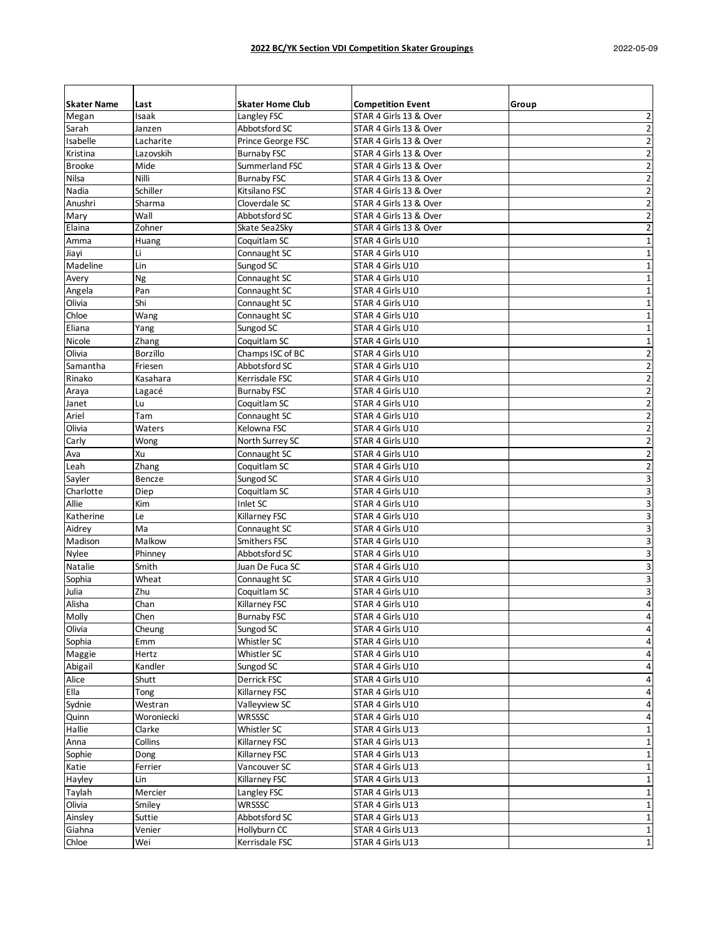| <b>Skater Name</b>             | Last            | <b>Skater Home Club</b> | <b>Competition Event</b> | Group                   |
|--------------------------------|-----------------|-------------------------|--------------------------|-------------------------|
| Megan                          | Isaak           | Langley FSC             | STAR 4 Girls 13 & Over   | 2                       |
| Sarah                          | Janzen          | Abbotsford SC           | STAR 4 Girls 13 & Over   | $\overline{\mathbf{c}}$ |
| Isabelle                       | Lacharite       | Prince George FSC       | STAR 4 Girls 13 & Over   | 2                       |
| Kristina                       | Lazovskih       | <b>Burnaby FSC</b>      | STAR 4 Girls 13 & Over   | $\overline{2}$          |
| <b>Brooke</b>                  | Mide            | Summerland FSC          | STAR 4 Girls 13 & Over   | $\overline{2}$          |
| Nilsa                          | Nilli           | <b>Burnaby FSC</b>      | STAR 4 Girls 13 & Over   | $\overline{2}$          |
| Nadia                          | Schiller        | Kitsilano FSC           | STAR 4 Girls 13 & Over   | $\overline{\mathbf{c}}$ |
| Anushri                        | Sharma          | Cloverdale SC           | STAR 4 Girls 13 & Over   | $\overline{2}$          |
| Mary                           | Wall            | Abbotsford SC           | STAR 4 Girls 13 & Over   | $\overline{2}$          |
| Elaina                         | Zohner          | Skate Sea2Sky           | STAR 4 Girls 13 & Over   | $\overline{2}$          |
| Amma                           | Huang           | Coquitlam SC            | STAR 4 Girls U10         | $\mathbf 1$             |
| Jiayi                          | Li              | Connaught SC            | STAR 4 Girls U10         | 1                       |
| Madeline                       | Lin             | Sungod SC               | STAR 4 Girls U10         | 1                       |
| Avery                          | Ng              | Connaught SC            | STAR 4 Girls U10         | $\mathbf{1}$            |
| Angela                         | Pan             | Connaught SC            | STAR 4 Girls U10         | $\mathbf 1$             |
| Olivia                         | Shi             | Connaught SC            | STAR 4 Girls U10         | $\mathbf 1$             |
| Chloe                          | Wang            | Connaught SC            | STAR 4 Girls U10         | 1                       |
| Eliana                         | Yang            | Sungod SC               | STAR 4 Girls U10         | 1                       |
| Nicole                         | Zhang           | Coquitlam SC            | STAR 4 Girls U10         | $\mathbf 1$             |
| Olivia                         | <b>Borzillo</b> | Champs ISC of BC        | STAR 4 Girls U10         | $\overline{2}$          |
| Samantha                       | Friesen         | Abbotsford SC           | STAR 4 Girls U10         | $\overline{2}$          |
| Rinako                         | Kasahara        | Kerrisdale FSC          | STAR 4 Girls U10         | $\overline{2}$          |
| Araya                          | Lagacé          | <b>Burnaby FSC</b>      | STAR 4 Girls U10         | $\overline{2}$          |
| Janet                          | Lu              | Coquitlam SC            | STAR 4 Girls U10         | $\overline{2}$          |
| Ariel                          | Tam             | Connaught SC            | STAR 4 Girls U10         | $\overline{2}$          |
| Olivia                         | Waters          | Kelowna FSC             | STAR 4 Girls U10         | $\overline{2}$          |
| Carly                          | Wong            | North Surrey SC         | STAR 4 Girls U10         | $\overline{2}$          |
| Ava                            | Xu              | Connaught SC            | STAR 4 Girls U10         | $\overline{\mathbf{c}}$ |
| Leah                           | Zhang           | Coquitlam SC            | STAR 4 Girls U10         | $\overline{2}$          |
| Sayler                         | Bencze          | Sungod SC               | STAR 4 Girls U10         | 3                       |
| Charlotte                      | Diep            | Coquitlam SC            | STAR 4 Girls U10         | 3                       |
| Allie                          | Kim             | Inlet SC                | STAR 4 Girls U10         | 3                       |
|                                | Le              | Killarney FSC           | STAR 4 Girls U10         |                         |
| Katherine                      | Ma              | Connaught SC            | STAR 4 Girls U10         | 3<br>3                  |
| Aidrey<br>Madison              | Malkow          | Smithers FSC            | STAR 4 Girls U10         | 3                       |
|                                |                 |                         |                          |                         |
| <b>Nylee</b><br><b>Natalie</b> | Phinney         | Abbotsford SC           | STAR 4 Girls U10         | 3                       |
|                                | Smith           | Juan De Fuca SC         | STAR 4 Girls U10         | 3                       |
| Sophia                         | Wheat           | Connaught SC            | STAR 4 Girls U10         | 3                       |
| Julia                          | Zhu             | Coquitlam SC            | STAR 4 Girls U10         | 3                       |
| Alisha                         | Chan            | Killarney FSC           | STAR 4 Girls U10         | $\overline{4}$          |
| Molly                          | Chen            | <b>Burnaby FSC</b>      | STAR 4 Girls U10         | 4                       |
| Olivia                         | Cheung          | Sungod SC               | STAR 4 Girls U10         | 4                       |
| Sophia                         | Emm             | Whistler SC             | STAR 4 Girls U10         | 4                       |
| Maggie                         | Hertz           | Whistler SC             | STAR 4 Girls U10         | 4                       |
| Abigail                        | Kandler         | Sungod SC               | STAR 4 Girls U10         | 4                       |
| Alice                          | Shutt           | Derrick FSC             | STAR 4 Girls U10         | 4                       |
| Ella                           | Tong            | Killarney FSC           | STAR 4 Girls U10         | 4                       |
| Sydnie                         | Westran         | Valleyview SC           | STAR 4 Girls U10         | 4                       |
| Quinn                          | Woroniecki      | WRSSSC                  | STAR 4 Girls U10         | 4                       |
| Hallie                         | Clarke          | Whistler SC             | STAR 4 Girls U13         | $\mathbf 1$             |
| Anna                           | Collins         | Killarney FSC           | STAR 4 Girls U13         | 1                       |
| Sophie                         | Dong            | Killarney FSC           | STAR 4 Girls U13         | $\mathbf 1$             |
| Katie                          | Ferrier         | Vancouver SC            | STAR 4 Girls U13         | 1                       |
| Hayley                         | Lin             | Killarney FSC           | STAR 4 Girls U13         | $\mathbf 1$             |
| Taylah                         | Mercier         | Langley FSC             | STAR 4 Girls U13         | 1                       |
| Olivia                         | Smiley          | <b>WRSSSC</b>           | STAR 4 Girls U13         | 1                       |
| Ainsley                        | Suttie          | Abbotsford SC           | STAR 4 Girls U13         | 1                       |
| Giahna                         | Venier          | Hollyburn CC            | STAR 4 Girls U13         | 1                       |
| Chloe                          | Wei             | Kerrisdale FSC          | STAR 4 Girls U13         | $\mathbf 1$             |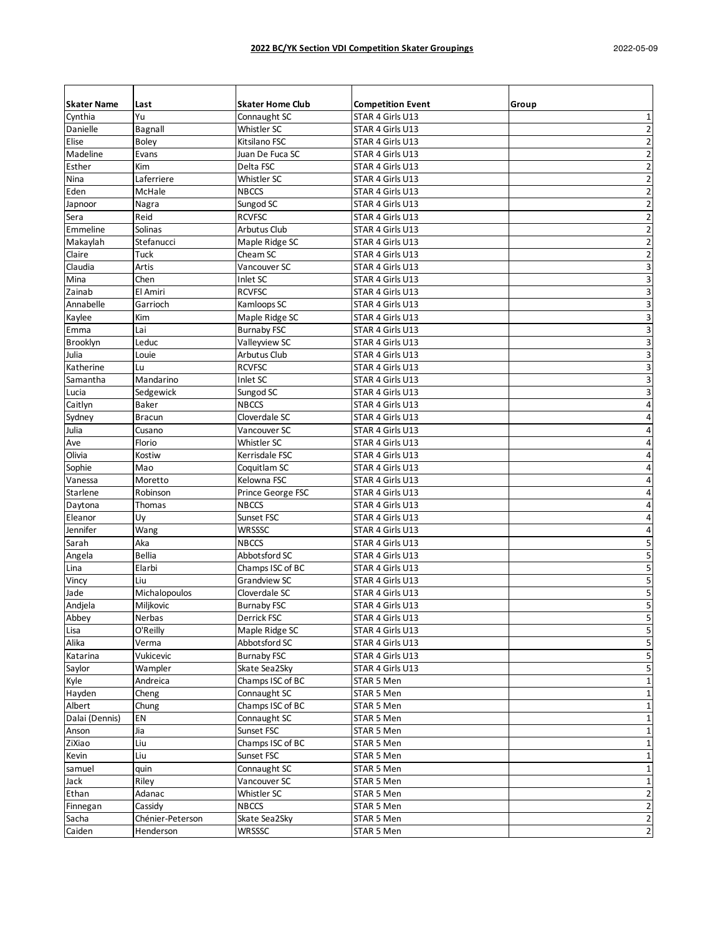| <b>Skater Name</b> | Last             | <b>Skater Home Club</b> | <b>Competition Event</b> | Group                   |
|--------------------|------------------|-------------------------|--------------------------|-------------------------|
| Cynthia            | Yu               | Connaught SC            | STAR 4 Girls U13         |                         |
| Danielle           |                  | Whistler SC             |                          | 1<br>2                  |
| Elise              | Bagnall<br>Boley | Kitsilano FSC           | STAR 4 Girls U13         | $\overline{2}$          |
| Madeline           | Evans            | Juan De Fuca SC         | STAR 4 Girls U13         |                         |
| Esther             |                  |                         | STAR 4 Girls U13         | $\overline{2}$          |
|                    | Kim              | Delta FSC               | STAR 4 Girls U13         | 2                       |
| Nina               | Laferriere       | Whistler SC             | STAR 4 Girls U13         | 2                       |
| Eden               | McHale           | <b>NBCCS</b>            | STAR 4 Girls U13         | $\overline{\mathbf{c}}$ |
| Japnoor            | Nagra            | Sungod SC               | STAR 4 Girls U13         | $\overline{2}$          |
| Sera               | Reid             | <b>RCVFSC</b>           | STAR 4 Girls U13         | $\overline{2}$          |
| Emmeline           | Solinas          | <b>Arbutus Club</b>     | STAR 4 Girls U13         | $\overline{2}$          |
| Makaylah           | Stefanucci       | Maple Ridge SC          | STAR 4 Girls U13         | $\overline{2}$          |
| Claire             | Tuck             | Cheam SC                | STAR 4 Girls U13         | $\overline{2}$          |
| Claudia            | Artis            | Vancouver SC            | STAR 4 Girls U13         | 3                       |
| Mina               | Chen             | Inlet SC                | STAR 4 Girls U13         | 3                       |
| Zainab             | El Amiri         | <b>RCVFSC</b>           | STAR 4 Girls U13         | 3                       |
| Annabelle          | Garrioch         | Kamloops SC             | STAR 4 Girls U13         | 3                       |
| Kaylee             | Kim              | Maple Ridge SC          | STAR 4 Girls U13         | 3                       |
| Emma               | Lai              | <b>Burnaby FSC</b>      | STAR 4 Girls U13         | 3                       |
| Brooklyn           | Leduc            | Valleyview SC           | STAR 4 Girls U13         | 3                       |
| Julia              | Louie            | <b>Arbutus Club</b>     | STAR 4 Girls U13         | 3                       |
| Katherine          | Lu               | <b>RCVFSC</b>           | STAR 4 Girls U13         | 3                       |
| Samantha           | Mandarino        | Inlet SC                | STAR 4 Girls U13         | 3                       |
| Lucia              | Sedgewick        | Sungod SC               | STAR 4 Girls U13         | 3                       |
| Caitlyn            | <b>Baker</b>     | <b>NBCCS</b>            | STAR 4 Girls U13         | 4                       |
| Sydney             | <b>Bracun</b>    | Cloverdale SC           | STAR 4 Girls U13         | 4                       |
| Julia              | Cusano           | Vancouver SC            | STAR 4 Girls U13         | 4                       |
| Ave                | Florio           | Whistler SC             | STAR 4 Girls U13         | 4                       |
| Olivia             | Kostiw           | Kerrisdale FSC          | STAR 4 Girls U13         | 4                       |
| Sophie             | Mao              | Coquitlam SC            | STAR 4 Girls U13         | 4                       |
| Vanessa            | Moretto          | Kelowna FSC             | STAR 4 Girls U13         | 4                       |
| Starlene           | Robinson         | Prince George FSC       | STAR 4 Girls U13         | 4                       |
| Daytona            | Thomas           | <b>NBCCS</b>            | STAR 4 Girls U13         | 4                       |
| Eleanor            | Uy               | Sunset FSC              | STAR 4 Girls U13         | 4                       |
| Jennifer           | Wang             | WRSSSC                  | STAR 4 Girls U13         | 4                       |
| Sarah              | Aka              | <b>NBCCS</b>            | STAR 4 Girls U13         | 5                       |
| Angela             | <b>Bellia</b>    | Abbotsford SC           | STAR 4 Girls U13         | 5                       |
| Lina               | Elarbi           | Champs ISC of BC        | STAR 4 Girls U13         | 5                       |
| Vincy              | Liu              | <b>Grandview SC</b>     | STAR 4 Girls U13         | 5                       |
| Jade               | Michalopoulos    | Cloverdale SC           | STAR 4 Girls U13         | 5                       |
| Andjela            | Miljkovic        | <b>Burnaby FSC</b>      | STAR 4 Girls U13         | 5                       |
| Abbey              | Nerbas           | Derrick FSC             | STAR 4 Girls U13         | 5                       |
| Lisa               | O'Reilly         | Maple Ridge SC          | STAR 4 Girls U13         | 5                       |
| Alika              | Verma            | Abbotsford SC           | STAR 4 Girls U13         | 5                       |
| Katarina           | Vukicevic        | <b>Burnaby FSC</b>      | STAR 4 Girls U13         | 5                       |
| Saylor             | Wampler          | Skate Sea2Sky           | STAR 4 Girls U13         | 5                       |
| Kyle               | Andreica         | Champs ISC of BC        | STAR 5 Men               | $\mathbf 1$             |
| Hayden             | Cheng            | Connaught SC            | STAR 5 Men               | $\mathbf{1}$            |
| Albert             | Chung            | Champs ISC of BC        | STAR 5 Men               | 1                       |
| Dalai (Dennis)     | EN               | Connaught SC            | STAR 5 Men               |                         |
| Anson              | Jia              | Sunset FSC              | STAR 5 Men               | 1                       |
| ZiXiao             | Liu              | Champs ISC of BC        | STAR 5 Men               | 1                       |
| Kevin              | Liu              | Sunset FSC              | STAR 5 Men               | $\mathbf{1}$            |
| samuel             | quin             | Connaught SC            | STAR 5 Men               | $\mathbf{1}$            |
| Jack               | Riley            | Vancouver SC            | STAR 5 Men               | 1                       |
| Ethan              | Adanac           | Whistler SC             | STAR 5 Men               | $\overline{2}$          |
| Finnegan           | Cassidy          | <b>NBCCS</b>            | STAR 5 Men               | $\overline{2}$          |
| Sacha              | Chénier-Peterson | Skate Sea2Sky           | STAR 5 Men               | $\overline{2}$          |
| Caiden             | Henderson        | <b>WRSSSC</b>           | STAR 5 Men               | $\overline{2}$          |
|                    |                  |                         |                          |                         |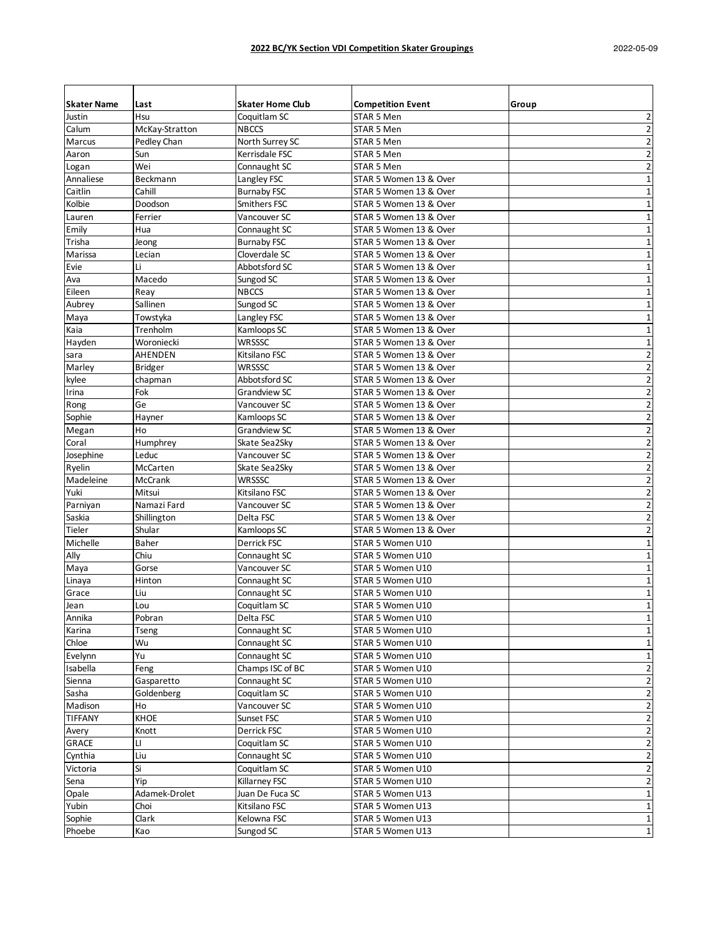| <b>Skater Name</b> | Last           | <b>Skater Home Club</b> | <b>Competition Event</b> | Group                   |
|--------------------|----------------|-------------------------|--------------------------|-------------------------|
| Justin             | Hsu            | Coquitlam SC            | STAR 5 Men               | $\overline{2}$          |
| Calum              | McKay-Stratton | <b>NBCCS</b>            | STAR 5 Men               | $\overline{2}$          |
| Marcus             | Pedley Chan    | North Surrey SC         | STAR 5 Men               | $\overline{\mathbf{c}}$ |
| Aaron              | Sun            | Kerrisdale FSC          | STAR 5 Men               | $\overline{2}$          |
| Logan              | Wei            | Connaught SC            | STAR 5 Men               | $\overline{2}$          |
| Annaliese          | Beckmann       | Langley FSC             | STAR 5 Women 13 & Over   | $\mathbf{1}$            |
| Caitlin            | Cahill         | <b>Burnaby FSC</b>      | STAR 5 Women 13 & Over   | $\mathbf{1}$            |
| Kolbie             | Doodson        | Smithers FSC            | STAR 5 Women 13 & Over   | 1                       |
| Lauren             | Ferrier        | Vancouver SC            | STAR 5 Women 13 & Over   | 1                       |
| Emily              | Hua            | Connaught SC            | STAR 5 Women 13 & Over   | 1                       |
| Trisha             | Jeong          | <b>Burnaby FSC</b>      | STAR 5 Women 13 & Over   | $\mathbf{1}$            |
| Marissa            | Lecian         | Cloverdale SC           | STAR 5 Women 13 & Over   | $\mathbf 1$             |
| Evie               | Li             | Abbotsford SC           | STAR 5 Women 13 & Over   | 1                       |
| Ava                | Macedo         | Sungod SC               | STAR 5 Women 13 & Over   | $\mathbf 1$             |
| Eileen             | Reay           | NBCCS                   | STAR 5 Women 13 & Over   | $\mathbf 1$             |
| Aubrey             | Sallinen       | Sungod SC               | STAR 5 Women 13 & Over   | $\mathbf{1}$            |
| Maya               | Towstyka       | Langley FSC             | STAR 5 Women 13 & Over   | $\mathbf 1$             |
| Kaia               | Trenholm       | Kamloops SC             | STAR 5 Women 13 & Over   | $\mathbf 1$             |
| Hayden             | Woroniecki     | WRSSSC                  | STAR 5 Women 13 & Over   | $\mathbf 1$             |
| sara               | AHENDEN        | Kitsilano FSC           | STAR 5 Women 13 & Over   | $\overline{\mathbf{c}}$ |
| Marley             | Bridger        | WRSSSC                  | STAR 5 Women 13 & Over   | $\overline{2}$          |
| kylee              | chapman        | Abbotsford SC           | STAR 5 Women 13 & Over   | $\overline{2}$          |
| Irina              | Fok            | Grandview SC            | STAR 5 Women 13 & Over   | $\overline{2}$          |
| Rong               | Ge             | Vancouver SC            | STAR 5 Women 13 & Over   | $\overline{2}$          |
| Sophie             | Hayner         | Kamloops SC             | STAR 5 Women 13 & Over   | $\overline{2}$          |
| Megan              | Ho             | Grandview SC            | STAR 5 Women 13 & Over   | $\overline{2}$          |
| Coral              | Humphrey       | Skate Sea2Sky           | STAR 5 Women 13 & Over   | $\overline{2}$          |
| Josephine          | Leduc          | Vancouver SC            | STAR 5 Women 13 & Over   | $\overline{2}$          |
| Ryelin             | McCarten       | Skate Sea2Sky           | STAR 5 Women 13 & Over   | $\overline{\mathbf{c}}$ |
| Madeleine          | McCrank        | WRSSSC                  | STAR 5 Women 13 & Over   | $\overline{2}$          |
| Yuki               | Mitsui         | Kitsilano FSC           | STAR 5 Women 13 & Over   | $\overline{2}$          |
| Parniyan           | Namazi Fard    | Vancouver SC            | STAR 5 Women 13 & Over   | $\overline{2}$          |
| Saskia             | Shillington    | Delta FSC               | STAR 5 Women 13 & Over   | $\overline{2}$          |
| Tieler             | Shular         | Kamloops SC             | STAR 5 Women 13 & Over   | $\overline{2}$          |
| Michelle           | Baher          | Derrick FSC             | STAR 5 Women U10         | 1                       |
| Ally               | Chiu           | Connaught SC            | STAR 5 Women U10         | $\mathbf 1$             |
|                    | Gorse          | Vancouver SC            | STAR 5 Women U10         | $\mathbf{1}$            |
| Maya               | Hinton         | Connaught SC            | STAR 5 Women U10         | $\mathbf 1$             |
| Linaya             | Liu            | Connaught SC            | STAR 5 Women U10         |                         |
| Grace              |                | Coquitlam SC            |                          | 1<br>$\mathbf{1}$       |
| Jean               | Lou            |                         | STAR 5 Women U10         |                         |
| Annika             | Pobran         | Delta FSC               | STAR 5 Women U10         | 1                       |
| Karina             | Tseng          | Connaught SC            | STAR 5 Women U10         | $\mathbf 1$             |
| Chloe              | Wu             | Connaught SC            | STAR 5 Women U10         | 1                       |
| Evelynn            | Yu             | Connaught SC            | STAR 5 Women U10         | 1                       |
| Isabella           | Feng           | Champs ISC of BC        | STAR 5 Women U10         | 2                       |
| Sienna             | Gasparetto     | Connaught SC            | STAR 5 Women U10         | $\overline{\mathbf{c}}$ |
| Sasha              | Goldenberg     | Coquitlam SC            | STAR 5 Women U10         | $\overline{2}$          |
| Madison            | Ho             | Vancouver SC            | STAR 5 Women U10         | 2                       |
| <b>TIFFANY</b>     | KHOE           | Sunset FSC              | STAR 5 Women U10         | $\overline{2}$          |
| Avery              | Knott          | Derrick FSC             | STAR 5 Women U10         | $\overline{2}$          |
| GRACE              | LI             | Coquitlam SC            | STAR 5 Women U10         | $\overline{2}$          |
| Cynthia            | Liu            | Connaught SC            | STAR 5 Women U10         | $\overline{2}$          |
| Victoria           | Si             | Coquitlam SC            | STAR 5 Women U10         | $\overline{2}$          |
| Sena               | Yip            | Killarney FSC           | STAR 5 Women U10         | $\overline{2}$          |
| Opale              | Adamek-Drolet  | Juan De Fuca SC         | STAR 5 Women U13         | $\mathbf 1$             |
| Yubin              | Choi           | Kitsilano FSC           | STAR 5 Women U13         | 1                       |
| Sophie             | Clark          | Kelowna FSC             | STAR 5 Women U13         | 1                       |
| Phoebe             | Kao            | Sungod SC               | STAR 5 Women U13         | 1                       |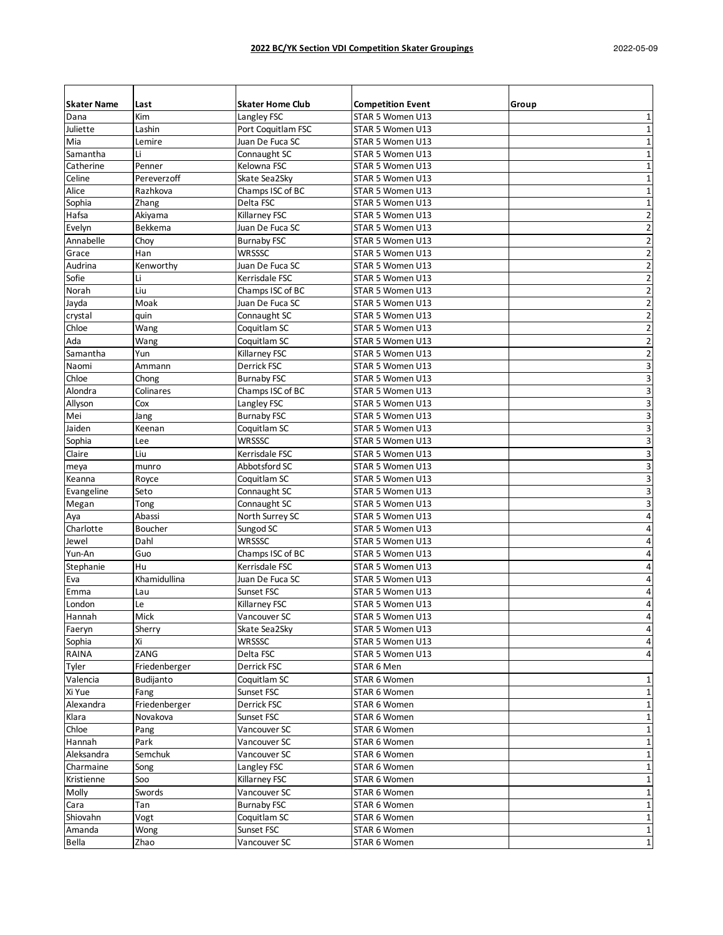| <b>Skater Name</b> | Last                      | <b>Skater Home Club</b> | <b>Competition Event</b> | Group          |
|--------------------|---------------------------|-------------------------|--------------------------|----------------|
| Dana               | Kim                       | Langley FSC             | STAR 5 Women U13         | 1              |
| Juliette           | Lashin                    | Port Coquitlam FSC      | STAR 5 Women U13         | $\mathbf{1}$   |
| Mia                | Lemire                    | Juan De Fuca SC         | STAR 5 Women U13         | $\mathbf{1}$   |
| Samantha           | Li                        | Connaught SC            | STAR 5 Women U13         | 1              |
| Catherine          | Penner                    | Kelowna FSC             | STAR 5 Women U13         | 1              |
| Celine             | Pereverzoff               | Skate Sea2Sky           | STAR 5 Women U13         | $\mathbf{1}$   |
| Alice              | Razhkova                  | Champs ISC of BC        | STAR 5 Women U13         | $\mathbf{1}$   |
| Sophia             | Zhang                     | Delta FSC               | STAR 5 Women U13         | $\mathbf 1$    |
| Hafsa              | Akiyama                   | Killarney FSC           | STAR 5 Women U13         | $\overline{2}$ |
| Evelyn             | <b>Bekkema</b>            | Juan De Fuca SC         | STAR 5 Women U13         | $\overline{2}$ |
| Annabelle          | Choy                      | <b>Burnaby FSC</b>      | STAR 5 Women U13         | $\overline{2}$ |
| Grace              | Han                       | WRSSSC                  | STAR 5 Women U13         | $\overline{2}$ |
| Audrina            | Kenworthy                 | Juan De Fuca SC         | STAR 5 Women U13         | $\overline{2}$ |
| Sofie              | Li                        | Kerrisdale FSC          | STAR 5 Women U13         | $\overline{2}$ |
| Norah              | Liu                       | Champs ISC of BC        | STAR 5 Women U13         | $\overline{2}$ |
| Jayda              | Moak                      | Juan De Fuca SC         | STAR 5 Women U13         | $\overline{2}$ |
| crystal            | quin                      | Connaught SC            | STAR 5 Women U13         | $\overline{2}$ |
| Chloe              | Wang                      | Coquitlam SC            | STAR 5 Women U13         | $\overline{2}$ |
| Ada                | Wang                      | Coquitlam SC            | STAR 5 Women U13         | $\overline{2}$ |
| Samantha           | Yun                       | Killarney FSC           | STAR 5 Women U13         | $\overline{2}$ |
| Naomi              | Ammann                    | Derrick FSC             | STAR 5 Women U13         | 3              |
| Chloe              | Chong                     | <b>Burnaby FSC</b>      | STAR 5 Women U13         | 3              |
| Alondra            | Colinares                 | Champs ISC of BC        | STAR 5 Women U13         | 3              |
| Allyson            | Cox                       | Langley FSC             | STAR 5 Women U13         | 3              |
| Mei                | Jang                      | <b>Burnaby FSC</b>      | STAR 5 Women U13         | 3              |
| Jaiden             | Keenan                    | Coquitlam SC            | STAR 5 Women U13         | 3              |
| Sophia             | Lee                       | WRSSSC                  | STAR 5 Women U13         | 3              |
| Claire             | Liu                       | Kerrisdale FSC          | STAR 5 Women U13         | 3              |
| meya               | munro                     | Abbotsford SC           | STAR 5 Women U13         | 3              |
| Keanna             | Royce                     | Coquitlam SC            | STAR 5 Women U13         | 3              |
| Evangeline         | Seto                      | Connaught SC            | STAR 5 Women U13         | 3              |
| Megan              | Tong                      | Connaught SC            | STAR 5 Women U13         | 3              |
| Aya                | Abassi                    | North Surrey SC         | STAR 5 Women U13         | 4              |
| Charlotte          | Boucher                   | Sungod SC               | STAR 5 Women U13         | 4              |
| Jewel              | Dahl                      | WRSSSC                  | STAR 5 Women U13         | 4              |
| Yun-An             | Guo                       | Champs ISC of BC        | STAR 5 Women U13         | 4              |
| Stephanie          | Hu                        | Kerrisdale FSC          | STAR 5 Women U13         | 4              |
| Eva                | Khamidullina              | Juan De Fuca SC         | STAR 5 Women U13         | 4              |
| Emma               | Lau                       | Sunset FSC              | STAR 5 Women U13         | 4              |
| London             | Le                        | Killarney FSC           | STAR 5 Women U13         | $\overline{4}$ |
| Hannah             | Mick                      | Vancouver SC            | STAR 5 Women U13         | 4              |
| Faeryn             | Sherry                    | Skate Sea2Sky           | STAR 5 Women U13         | 4              |
| Sophia             | Χi                        | WRSSSC                  | STAR 5 Women U13         | 4              |
| RAINA              | ZANG                      | Delta FSC               | STAR 5 Women U13         | 4              |
| Tyler              | Friedenberger             | Derrick FSC             | STAR 6 Men               |                |
| Valencia           | Budijanto                 | Coquitlam SC            | STAR 6 Women             | $\mathbf 1$    |
| Xi Yue             | Fang                      | Sunset FSC              | STAR 6 Women             | 1              |
| Alexandra          | Friedenberger             | Derrick FSC             | STAR 6 Women             | 1              |
| Klara              | Novakova                  | Sunset FSC              | STAR 6 Women             | 1              |
| Chloe              |                           | Vancouver SC            | STAR 6 Women             | $\mathbf 1$    |
| Hannah             | Pang<br>Park              | Vancouver SC            | STAR 6 Women             | 1              |
| Aleksandra         | Semchuk                   | Vancouver SC            | STAR 6 Women             | 1              |
|                    |                           | Langley FSC             |                          |                |
| Charmaine          | Song<br>$\overline{5}$ oo | Killarney FSC           | STAR 6 Women             | 1              |
| Kristienne         |                           |                         | STAR 6 Women             | 1              |
| Molly              | Swords                    | Vancouver SC            | STAR 6 Women             | 1              |
| Cara               | Tan                       | <b>Burnaby FSC</b>      | STAR 6 Women             | 1              |
| Shiovahn           | Vogt                      | Coquitlam SC            | STAR 6 Women             | 1              |
| Amanda             | Wong                      | Sunset FSC              | STAR 6 Women             | 1              |
| Bella              | Zhao                      | Vancouver SC            | STAR 6 Women             | $\mathbf 1$    |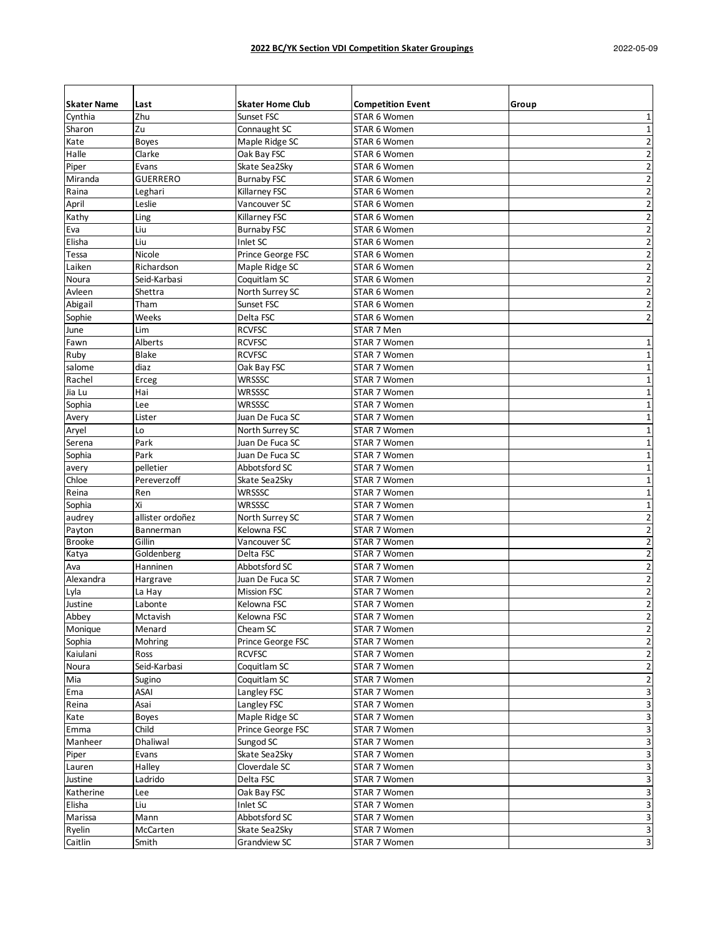| <b>Skater Name</b>      | Last                  | <b>Skater Home Club</b>             | <b>Competition Event</b>     | Group                   |
|-------------------------|-----------------------|-------------------------------------|------------------------------|-------------------------|
| Cynthia                 | Zhu                   | Sunset FSC                          | STAR 6 Women                 | 1                       |
| Sharon                  | Zu                    | Connaught SC                        | STAR 6 Women                 | 1                       |
| Kate                    | Boyes                 | Maple Ridge SC                      | STAR 6 Women                 | 2                       |
| Halle                   | Clarke                | Oak Bay FSC                         | STAR 6 Women                 | 2                       |
| Piper                   | Evans                 | Skate Sea2Sky                       | STAR 6 Women                 | $\overline{2}$          |
| Miranda                 | GUERRERO              | <b>Burnaby FSC</b>                  | STAR 6 Women                 | $\overline{2}$          |
| Raina                   | Leghari               | Killarney FSC                       | STAR 6 Women                 | $\overline{2}$          |
| April                   | Leslie                | Vancouver SC                        | STAR 6 Women                 | $\overline{2}$          |
| Kathy                   | Ling                  | Killarney FSC                       | STAR 6 Women                 | $\overline{2}$          |
| Eva                     | Liu                   | <b>Burnaby FSC</b>                  | STAR 6 Women                 | $\overline{2}$          |
| Elisha                  | Liu                   | Inlet SC                            | STAR 6 Women                 | $\overline{2}$          |
| Tessa                   | Nicole                | Prince George FSC                   | STAR 6 Women                 | $\overline{2}$          |
| Laiken                  | Richardson            | Maple Ridge SC                      | STAR 6 Women                 | $\overline{2}$          |
| Noura                   | Seid-Karbasi          | Coquitlam SC                        | STAR 6 Women                 | 2                       |
| Avleen                  | Shettra               | North Surrey SC                     | STAR 6 Women                 | $\overline{2}$          |
| Abigail                 | Tham                  | Sunset FSC                          | STAR 6 Women                 | 2                       |
| Sophie                  | Weeks                 | Delta FSC                           | STAR 6 Women                 | 2                       |
| June                    | Lim                   | <b>RCVFSC</b>                       | STAR 7 Men                   |                         |
| Fawn                    | Alberts               | <b>RCVFSC</b>                       | STAR 7 Women                 | $\mathbf{1}$            |
| Ruby                    | <b>Blake</b>          | <b>RCVFSC</b>                       | STAR 7 Women                 | $\mathbf{1}$            |
| salome                  | diaz                  | Oak Bay FSC                         | STAR 7 Women                 | 1                       |
| Rachel                  | Erceg                 | WRSSSC                              | STAR 7 Women                 | 1                       |
| Jia Lu                  | Hai                   | WRSSSC                              | STAR 7 Women                 | 1                       |
| Sophia                  | Lee                   | WRSSSC                              | STAR 7 Women                 | $\mathbf 1$             |
| Avery                   | Lister                | Juan De Fuca SC                     | STAR 7 Women                 | 1                       |
| Aryel                   | Lo                    | North Surrey SC                     | STAR 7 Women                 | 1                       |
| Serena                  | Park                  | Juan De Fuca SC                     | STAR 7 Women                 | 1                       |
| Sophia                  | Park                  | Juan De Fuca SC                     | STAR 7 Women                 | 1                       |
|                         | pelletier             | Abbotsford SC                       | STAR 7 Women                 | 1                       |
| avery<br>Chloe          | Pereverzoff           | Skate Sea2Sky                       | STAR 7 Women                 | 1                       |
| Reina                   | Ren                   | WRSSSC                              | STAR 7 Women                 | 1                       |
|                         | Xi                    | WRSSSC                              |                              | $\mathbf{1}$            |
| Sophia                  | allister ordoñez      | North Surrey SC                     | STAR 7 Women                 | $\overline{2}$          |
| audrey                  |                       | Kelowna FSC                         | STAR 7 Women<br>STAR 7 Women | $\overline{2}$          |
| Payton<br><b>Brooke</b> | Bannerman<br>Gillin   | Vancouver SC                        | STAR 7 Women                 | $\overline{2}$          |
| Katya                   | Goldenberg            | Delta FSC                           | STAR 7 Women                 | $\overline{2}$          |
| Ava                     | Hanninen              | Abbotsford SC                       | STAR 7 Women                 | 2                       |
| Alexandra               | Hargrave              | Juan De Fuca SC                     | STAR 7 Women                 | 2                       |
| Lyla                    | La Hay                | <b>Mission FSC</b>                  | STAR 7 Women                 | 2                       |
| Justine                 | Labonte               | Kelowna FSC                         | STAR 7 Women                 | $\overline{2}$          |
| Abbey                   | Mctavish              | Kelowna FSC                         | STAR 7 Women                 | $\overline{2}$          |
| Monique                 | Menard                | Cheam SC                            | STAR 7 Women                 | $\overline{2}$          |
| Sophia                  | Mohring               | Prince George FSC                   | STAR 7 Women                 | 2                       |
| Kaiulani                | Ross                  | <b>RCVFSC</b>                       | STAR 7 Women                 | $\overline{2}$          |
| Noura                   | Seid-Karbasi          | Coquitlam SC                        | STAR 7 Women                 | $\overline{\mathbf{c}}$ |
| Mia                     | Sugino                | Coquitlam SC                        | STAR 7 Women                 | $\overline{2}$          |
| Ema                     | ASAI                  | Langley FSC                         | STAR 7 Women                 | 3                       |
| Reina                   | Asai                  | Langley FSC                         | STAR 7 Women                 | 3                       |
|                         |                       |                                     |                              |                         |
| Kate                    | <b>Boyes</b><br>Child | Maple Ridge SC<br>Prince George FSC | STAR 7 Women                 | 3                       |
| Emma                    |                       | Sungod SC                           | STAR 7 Women                 | 3                       |
| Manheer                 | Dhaliwal              |                                     | STAR 7 Women                 | 3                       |
| Piper                   | Evans                 | Skate Sea2Sky                       | STAR 7 Women                 | 3                       |
| Lauren                  | Halley                | Cloverdale SC                       | STAR 7 Women                 | 3                       |
| Justine                 | Ladrido               | Delta FSC                           | STAR 7 Women                 | 3                       |
| Katherine               | Lee                   | Oak Bay FSC                         | STAR 7 Women                 | 3                       |
| Elisha                  | Liu                   | Inlet SC                            | STAR 7 Women                 | 3                       |
| Marissa                 | Mann                  | Abbotsford SC                       | STAR 7 Women                 | 3                       |
| Ryelin                  | McCarten              | Skate Sea2Sky                       | STAR 7 Women                 | 3                       |
| Caitlin                 | Smith                 | Grandview SC                        | STAR 7 Women                 | 3                       |